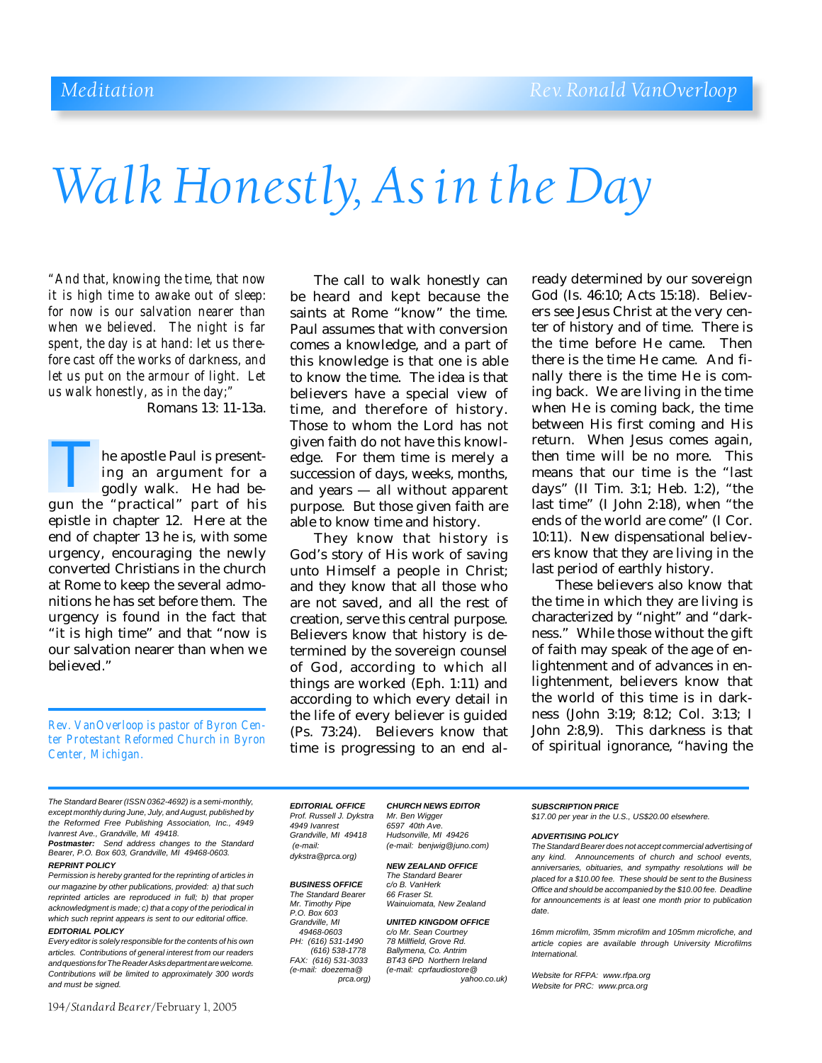# *Walk Honestly, As in the Day*

*"And that, knowing the time, that now it is high time to awake out of sleep: for now is our salvation nearer than when we believed. The night is far spent, the day is at hand: let us therefore cast off the works of darkness, and let us put on the armour of light. Let us walk honestly, as in the day;"*

Romans 13: 11-13a.

he apostle Paul is presenting an argument for a godly walk. He had be-The apostle Paul is presenting an argument for a godly walk. He had begun the "practical" part of his epistle in chapter 12. Here at the end of chapter 13 he is, with some urgency, encouraging the newly converted Christians in the church at Rome to keep the several admonitions he has set before them. The urgency is found in the fact that "it is high time" and that "now is our salvation nearer than when we believed."

*Rev. VanOverloop is pastor of Byron Center Protestant Reformed Church in Byron Center, Michigan.*

The call to walk honestly can be heard and kept because the saints at Rome "know" the time. Paul assumes that with conversion comes a knowledge, and a part of this knowledge is that one is able to know the time. The idea is that believers have a special view of time, and therefore of history. Those to whom the Lord has not given faith do not have this knowledge. For them time is merely a succession of days, weeks, months, and years — all without apparent purpose. But those given faith are able to know time and history.

They know that history is God's story of His work of saving unto Himself a people in Christ; and they know that all those who are not saved, and all the rest of creation, serve this central purpose. Believers know that history is determined by the sovereign counsel of God, according to which all things are worked (Eph. 1:11) and according to which every detail in the life of every believer is guided (Ps. 73:24). Believers know that time is progressing to an end al-

ready determined by our sovereign God (Is. 46:10; Acts 15:18). Believers see Jesus Christ at the very center of history and of time. There is the time before He came. Then there is the time He came. And finally there is the time He is coming back. We are living in the time when He is coming back, the time between His first coming and His return. When Jesus comes again, then time will be no more. This means that our time is the "last days" (II Tim. 3:1; Heb. 1:2), "the last time" (I John 2:18), when "the ends of the world are come" (I Cor. 10:11). New dispensational believers know that they are living in the last period of earthly history.

These believers also know that the time in which they are living is characterized by "night" and "darkness." While those without the gift of faith may speak of the age of enlightenment and of advances in enlightenment, believers know that the world of this time is in darkness (John 3:19; 8:12; Col. 3:13; I John 2:8,9). This darkness is that of spiritual ignorance, "having the

*The Standard Bearer (ISSN 0362-4692) is a semi-monthly, except monthly during June, July, and August, published by the Reformed Free Publishing Association, Inc., 4949 Ivanrest Ave., Grandville, MI 49418.*

*Postmaster: Send address changes to the Standard Bearer, P.O. Box 603, Grandville, MI 49468-0603.*

#### *REPRINT POLICY*

*Permission is hereby granted for the reprinting of articles in our magazine by other publications, provided: a) that such reprinted articles are reproduced in full; b) that proper acknowledgment is made; c) that a copy of the periodical in which such reprint appears is sent to our editorial office. EDITORIAL POLICY*

*Every editor is solely responsible for the contents of his own articles. Contributions of general interest from our readers and questions for The Reader Asks department are welcome. Contributions will be limited to approximately 300 words and must be signed.*

194/*Standard Bearer*/February 1, 2005

*Prof. Russell J. Dykstra Mr. Ben Wigger 4949 Ivanrest 6597 40th Ave. dykstra@prca.org)*

**BUSINESS OFFICE** *The Standard Bearer 66 Fraser St. P.O. Box 603 PH:* (616) 531-1490<br>(616) 538-1778  *(616) 538-1778 Ballymena, Co. Antrim*

*EDITORIAL OFFICE CHURCH NEWS EDITOR Grandville, MI 49418 Hudsonville, MI 49426 (e-mail: (e-mail: benjwig@juno.com)*

> *NEW ZEALAND OFFICE The Standard Bearer Wainuiomata, New Zealand*

*Grandville, MI UNITED KINGDOM OFFICE c/o Mr. Sean Courtney*<br>78 *Millfield. Grove Rd.* 

*FAX: (616) 531-3033 BT43 6PD Northern Ireland (e-mail: doezema@ (e-mail: cprfaudiostore@ prca.org) yahoo.co.uk)*

*SUBSCRIPTION PRICE \$17.00 per year in the U.S., US\$20.00 elsewhere.*

#### *ADVERTISING POLICY*

*The Standard Bearer does not accept commercial advertising of any kind. Announcements of church and school events, anniversaries, obituaries, and sympathy resolutions will be placed for a \$10.00 fee. These should be sent to the Business Office and should be accompanied by the \$10.00 fee. Deadline for announcements is at least one month prior to publication date.*

*16mm microfilm, 35mm microfilm and 105mm microfiche, and article copies are available through University Microfilms International.*

*Website for RFPA: www.rfpa.org Website for PRC: www.prca.org*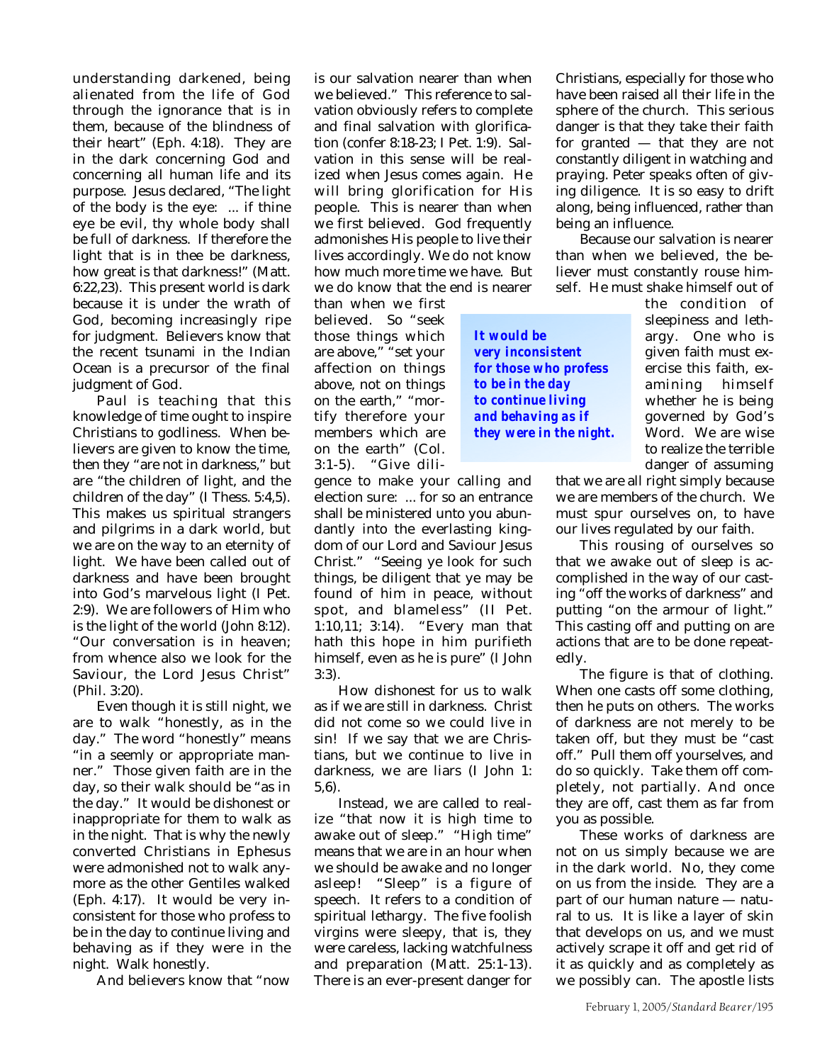understanding darkened, being alienated from the life of God through the ignorance that is in them, because of the blindness of their heart" (Eph. 4:18). They are in the dark concerning God and concerning all human life and its purpose. Jesus declared, "The light of the body is the eye: ... if thine eye be evil, thy whole body shall be full of darkness. If therefore the light that is in thee be darkness, how great is that darkness!" (Matt. 6:22,23). This present world is dark because it is under the wrath of God, becoming increasingly ripe for judgment. Believers know that the recent tsunami in the Indian Ocean is a precursor of the final judgment of God.

Paul is teaching that this knowledge of time ought to inspire Christians to godliness. When believers are given to know the time, then they "are not in darkness," but are "the children of light, and the children of the day" (I Thess. 5:4,5). This makes us spiritual strangers and pilgrims in a dark world, but we are on the way to an eternity of light. We have been called out of darkness and have been brought into God's marvelous light (I Pet. 2:9). We are followers of Him who is the light of the world (John 8:12). "Our conversation is in heaven; from whence also we look for the Saviour, the Lord Jesus Christ" (Phil. 3:20).

Even though it is still night, we are to walk "honestly, as in the day." The word "honestly" means "in a seemly or appropriate manner." Those given faith are in the day, so their walk should be "as in the day." It would be dishonest or inappropriate for them to walk as in the night. That is why the newly converted Christians in Ephesus were admonished not to walk anymore as the other Gentiles walked (Eph. 4:17). It would be very inconsistent for those who profess to be in the day to continue living and behaving as if they were in the night. Walk honestly.

And believers know that "now

is our salvation nearer than when we believed." This reference to salvation obviously refers to complete and final salvation with glorification (confer 8:18-23; I Pet. 1:9). Salvation in this sense will be realized when Jesus comes again. He will bring glorification for His people. This is nearer than when we first believed. God frequently admonishes His people to live their lives accordingly. We do not know how much more time we have. But we do know that the end is nearer

than when we first believed. So "seek those things which are above," "set your affection on things above, not on things on the earth," "mortify therefore your members which are on the earth" (Col. 3:1-5). "Give dili-

gence to make your calling and election sure: ... for so an entrance shall be ministered unto you abundantly into the everlasting kingdom of our Lord and Saviour Jesus Christ." "Seeing ye look for such things, be diligent that ye may be found of him in peace, without spot, and blameless" (II Pet. 1:10,11; 3:14). "Every man that hath this hope in him purifieth himself, even as he is pure" (I John 3:3).

How dishonest for us to walk as if we are still in darkness. Christ did not come so we could live in sin! If we say that we are Christians, but we continue to live in darkness, we are liars (I John 1: 5,6).

Instead, we are called to realize "that now it is high time to awake out of sleep." "High time" means that we are in an hour when we should be awake and no longer asleep! "Sleep" is a figure of speech. It refers to a condition of spiritual lethargy. The five foolish virgins were sleepy, that is, they were careless, lacking watchfulness and preparation (Matt. 25:1-13). There is an ever-present danger for

Christians, especially for those who have been raised all their life in the sphere of the church. This serious danger is that they take their faith for granted — that they are not constantly diligent in watching and praying. Peter speaks often of giving diligence. It is so easy to drift along, being influenced, rather than being an influence.

Because our salvation is nearer than when we believed, the believer must constantly rouse himself. He must shake himself out of

*It would be very inconsistent for those who profess to be in the day to continue living and behaving as if they were in the night.* the condition of sleepiness and lethargy. One who is given faith must exercise this faith, examining himself whether he is being governed by God's Word. We are wise to realize the terrible danger of assuming

that we are all right simply because we are members of the church. We must spur ourselves on, to have our lives regulated by our faith.

This rousing of ourselves so that we awake out of sleep is accomplished in the way of our casting "off the works of darkness" and putting "on the armour of light." This casting off and putting on are actions that are to be done repeatedly.

The figure is that of clothing. When one casts off some clothing, then he puts on others. The works of darkness are not merely to be taken off, but they must be "cast off." Pull them off yourselves, and do so quickly. Take them off completely, not partially. And once they are off, cast them as far from you as possible.

These works of darkness are not on us simply because we are in the dark world. No, they come on us from the inside. They are a part of our human nature — natural to us. It is like a layer of skin that develops on us, and we must actively scrape it off and get rid of it as quickly and as completely as we possibly can. The apostle lists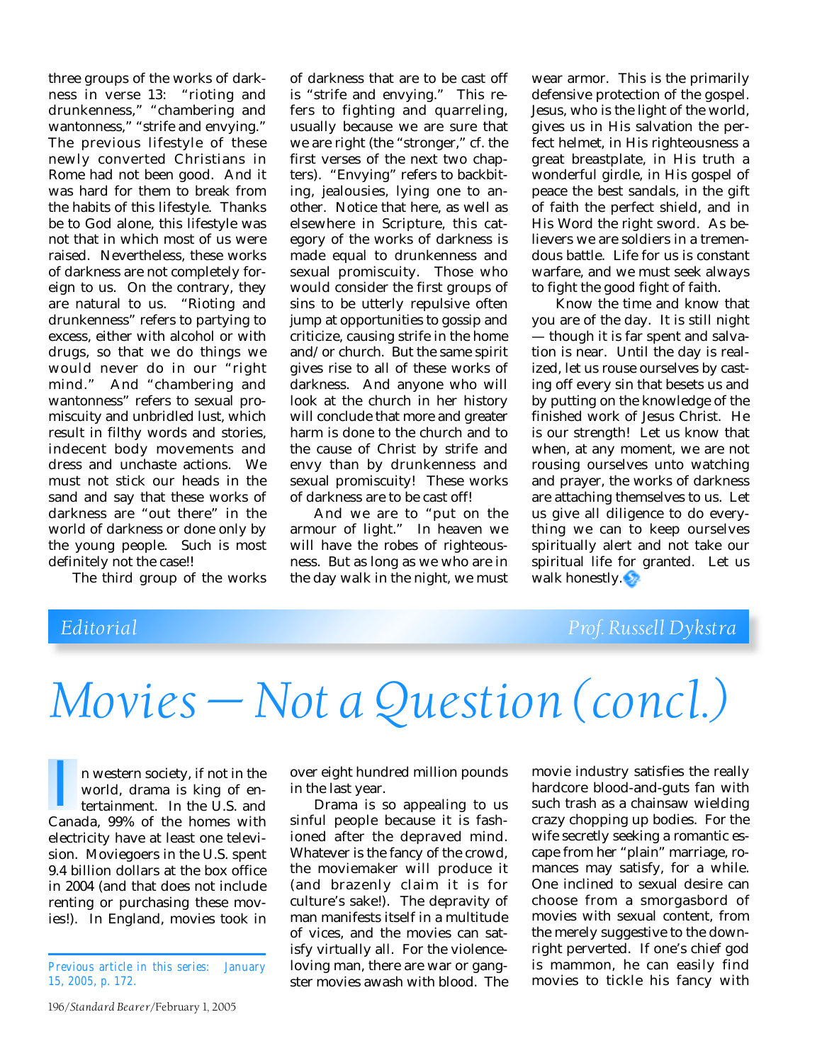three groups of the works of darkness in verse 13: "rioting and drunkenness," "chambering and wantonness," "strife and envying." The previous lifestyle of these newly converted Christians in Rome had not been good. And it was hard for them to break from the habits of this lifestyle. Thanks be to God alone, this lifestyle was not that in which most of us were raised. Nevertheless, these works of darkness are not completely foreign to us. On the contrary, they are natural to us. "Rioting and drunkenness" refers to partying to excess, either with alcohol or with drugs, so that we do things we would never do in our "right mind." And "chambering and wantonness" refers to sexual promiscuity and unbridled lust, which result in filthy words and stories, indecent body movements and dress and unchaste actions. We must not stick our heads in the sand and say that these works of darkness are "out there" in the world of darkness or done only by the young people. Such is most definitely not the case!!

The third group of the works

of darkness that are to be cast off is "strife and envying." This refers to fighting and quarreling, usually because we are sure that we are right (the "stronger," cf. the first verses of the next two chapters). "Envying" refers to backbiting, jealousies, lying one to another. Notice that here, as well as elsewhere in Scripture, this category of the works of darkness is made equal to drunkenness and sexual promiscuity. Those who would consider the first groups of sins to be utterly repulsive often jump at opportunities to gossip and criticize, causing strife in the home and/or church. But the same spirit gives rise to all of these works of darkness. And anyone who will look at the church in her history will conclude that more and greater harm is done to the church and to the cause of Christ by strife and envy than by drunkenness and sexual promiscuity! These works of darkness are to be cast off!

And we are to "put on the armour of light." In heaven we will have the robes of righteousness. But as long as we who are in the day walk in the night, we must

wear armor. This is the primarily defensive protection of the gospel. Jesus, who is the light of the world, gives us in His salvation the perfect helmet, in His righteousness a great breastplate, in His truth a wonderful girdle, in His gospel of peace the best sandals, in the gift of faith the perfect shield, and in His Word the right sword. As believers we are soldiers in a tremendous battle. Life for us is constant warfare, and we must seek always to fight the good fight of faith.

Know the time and know that you are of the day. It is still night — though it is far spent and salvation is near. Until the day is realized, let us rouse ourselves by casting off every sin that besets us and by putting on the knowledge of the finished work of Jesus Christ. He is our strength! Let us know that when, at any moment, we are not rousing ourselves unto watching and prayer, the works of darkness are attaching themselves to us. Let us give all diligence to do everything we can to keep ourselves spiritually alert and not take our spiritual life for granted. Let us walk honestly.

## *Editorial Prof. Russell Dykstra*

# *Movies — Not a Question (concl.)*

n western society, if not in the world, drama is king of entertainment. In the U.S. and n western society, if not in the<br>world, drama is king of en-<br>tertainment. In the U.S. and<br>Canada, 99% of the homes with electricity have at least one television. Moviegoers in the U.S. spent 9.4 billion dollars at the box office in 2004 (and that does not include renting or purchasing these movies!). In England, movies took in

196/*Standard Bearer*/February 1, 2005

over eight hundred million pounds in the last year.

Drama is so appealing to us sinful people because it is fashioned after the depraved mind. Whatever is the fancy of the crowd, the moviemaker will produce it (and brazenly claim it is for culture's sake!). The depravity of man manifests itself in a multitude of vices, and the movies can satisfy virtually all. For the violenceloving man, there are war or gangster movies awash with blood. The

movie industry satisfies the really hardcore blood-and-guts fan with such trash as a chainsaw wielding crazy chopping up bodies. For the wife secretly seeking a romantic escape from her "plain" marriage, romances may satisfy, for a while. One inclined to sexual desire can choose from a smorgasbord of movies with sexual content, from the merely suggestive to the downright perverted. If one's chief god is mammon, he can easily find movies to tickle his fancy with

*Previous article in this series: January 15, 2005, p. 172.*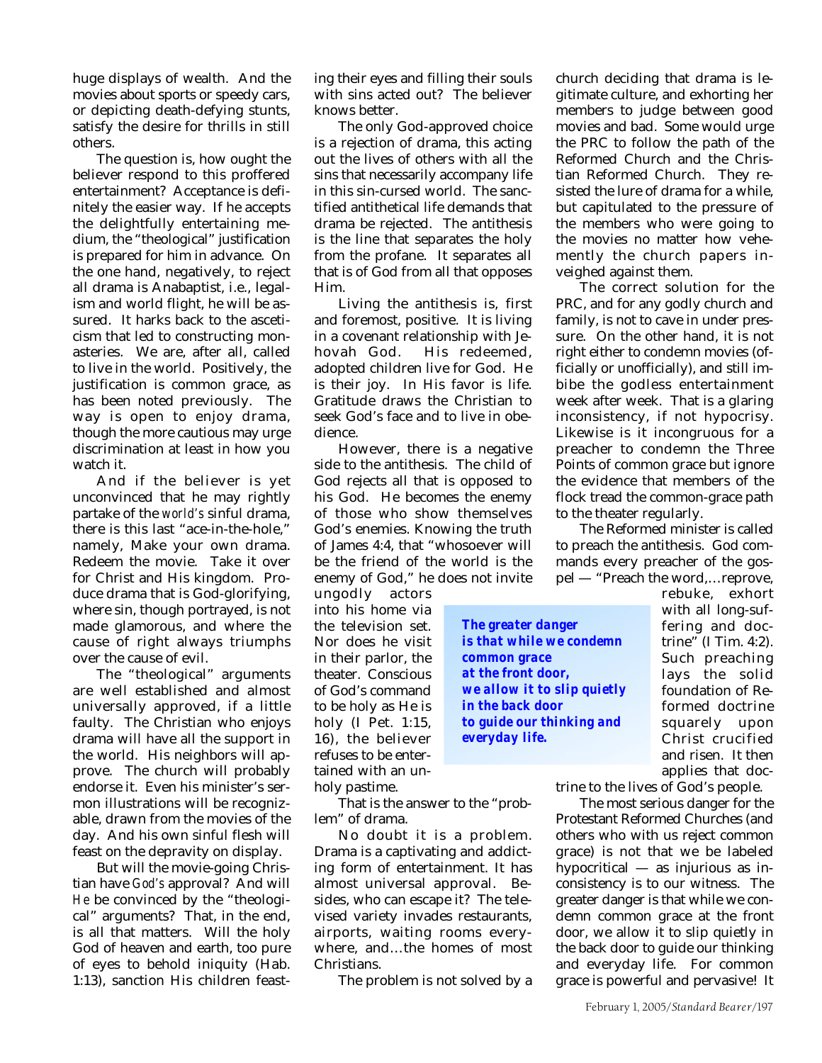huge displays of wealth. And the movies about sports or speedy cars, or depicting death-defying stunts, satisfy the desire for thrills in still others.

The question is, how ought the believer respond to this proffered entertainment? Acceptance is definitely the easier way. If he accepts the delightfully entertaining medium, the "theological" justification is prepared for him in advance. On the one hand, negatively, to reject all drama is Anabaptist, i.e., legalism and world flight, he will be assured. It harks back to the asceticism that led to constructing monasteries. We are, after all, called to live in the world. Positively, the justification is common grace, as has been noted previously. The way is open to enjoy drama, though the more cautious may urge discrimination at least in how you watch it.

And if the believer is yet unconvinced that he may rightly partake of the *world's* sinful drama, there is this last "ace-in-the-hole," namely, Make your own drama. Redeem the movie. Take it over for Christ and His kingdom. Produce drama that is God-glorifying, where sin, though portrayed, is not made glamorous, and where the cause of right always triumphs over the cause of evil.

The "theological" arguments are well established and almost universally approved, if a little faulty. The Christian who enjoys drama will have all the support in the world. His neighbors will approve. The church will probably endorse it. Even his minister's sermon illustrations will be recognizable, drawn from the movies of the day. And his own sinful flesh will feast on the depravity on display.

But will the movie-going Christian have *God's* approval? And will *He* be convinced by the "theological" arguments? That, in the end, is all that matters. Will the holy God of heaven and earth, too pure of eyes to behold iniquity (Hab. 1:13), sanction His children feast-

ing their eyes and filling their souls with sins acted out? The believer knows better.

The only God-approved choice is a rejection of drama, this acting out the lives of others with all the sins that necessarily accompany life in this sin-cursed world. The sanctified antithetical life demands that drama be rejected. The antithesis is the line that separates the holy from the profane. It separates all that is of God from all that opposes Him.

Living the antithesis is, first and foremost, positive. It is living in a covenant relationship with Jehovah God. His redeemed, adopted children live for God. He is their joy. In His favor is life. Gratitude draws the Christian to seek God's face and to live in obedience.

However, there is a negative side to the antithesis. The child of God rejects all that is opposed to his God. He becomes the enemy of those who show themselves God's enemies. Knowing the truth of James 4:4, that "whosoever will be the friend of the world is the enemy of God," he does not invite

ungodly actors into his home via the television set. Nor does he visit in their parlor, the theater. Conscious of God's command to be holy as He is holy (I Pet. 1:15, 16), the believer refuses to be entertained with an unholy pastime.

lem" of drama.

*The greater danger is that while we condemn common grace at the front door, we allow it to slip quietly in the back door to guide our thinking and everyday life.*

church deciding that drama is legitimate culture, and exhorting her members to judge between good movies and bad. Some would urge the PRC to follow the path of the Reformed Church and the Christian Reformed Church. They resisted the lure of drama for a while, but capitulated to the pressure of the members who were going to the movies no matter how vehemently the church papers inveighed against them.

The correct solution for the PRC, and for any godly church and family, is not to cave in under pressure. On the other hand, it is not right either to condemn movies (officially or unofficially), and still imbibe the godless entertainment week after week. That is a glaring inconsistency, if not hypocrisy. Likewise is it incongruous for a preacher to condemn the Three Points of common grace but ignore the evidence that members of the flock tread the common-grace path to the theater regularly.

The Reformed minister is called to preach the antithesis. God commands every preacher of the gospel — "Preach the word,…reprove,

> rebuke, exhort with all long-suffering and doctrine" (I Tim. 4:2). Such preaching lays the solid foundation of Reformed doctrine squarely upon Christ crucified and risen. It then applies that doc-

That is the answer to the "probtrine to the lives of God's people.

The most serious danger for the Protestant Reformed Churches (and others who with us reject common grace) is not that we be labeled hypocritical — as injurious as inconsistency is to our witness. The greater danger is that while we condemn common grace at the front door, we allow it to slip quietly in the back door to guide our thinking and everyday life. For common grace is powerful and pervasive! It

No doubt it is a problem. Drama is a captivating and addict-

ing form of entertainment. It has almost universal approval. Besides, who can escape it? The televised variety invades restaurants, airports, waiting rooms everywhere, and…the homes of most Christians.

The problem is not solved by a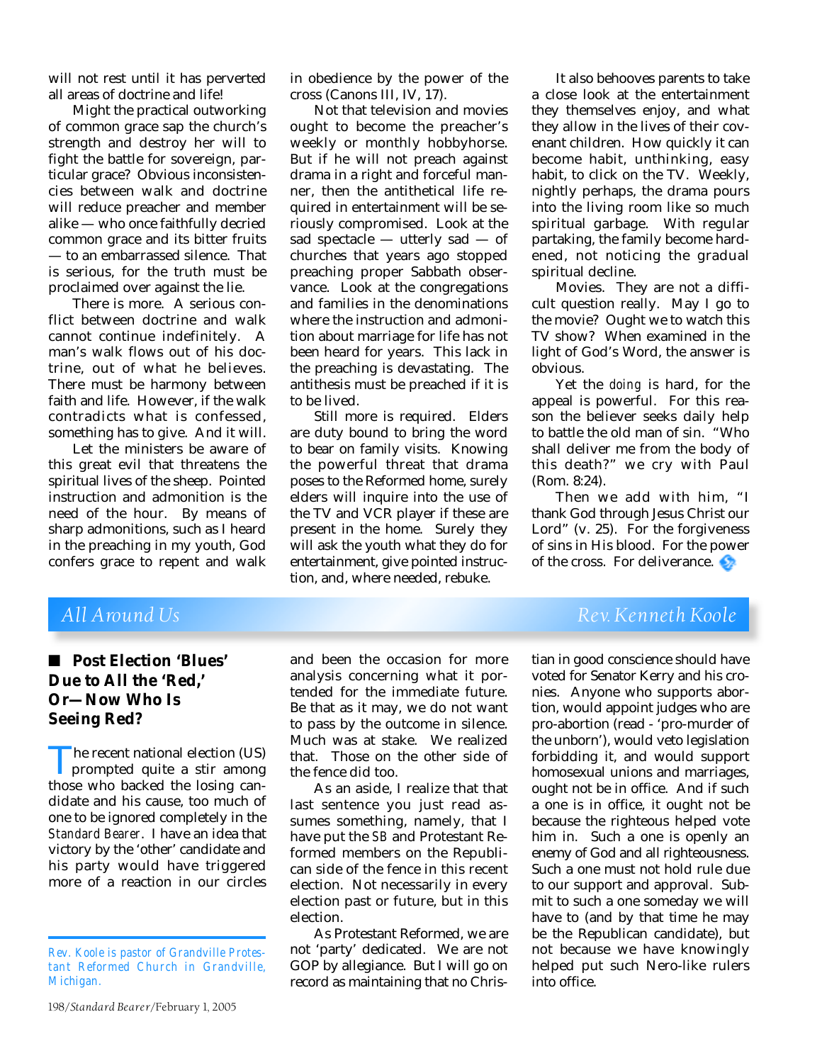will not rest until it has perverted all areas of doctrine and life!

Might the practical outworking of common grace sap the church's strength and destroy her will to fight the battle for sovereign, particular grace? Obvious inconsistencies between walk and doctrine will reduce preacher and member alike — who once faithfully decried common grace and its bitter fruits — to an embarrassed silence. That is serious, for the truth must be proclaimed over against the lie.

There is more. A serious conflict between doctrine and walk cannot continue indefinitely. A man's walk flows out of his doctrine, out of what he believes. There must be harmony between faith and life. However, if the walk contradicts what is confessed, something has to give. And it will.

Let the ministers be aware of this great evil that threatens the spiritual lives of the sheep. Pointed instruction and admonition is the need of the hour. By means of sharp admonitions, such as I heard in the preaching in my youth, God confers grace to repent and walk

in obedience by the power of the cross (Canons III, IV, 17).

Not that television and movies ought to become the preacher's weekly or monthly hobbyhorse. But if he will not preach against drama in a right and forceful manner, then the antithetical life required in entertainment will be seriously compromised. Look at the sad spectacle — utterly sad — of churches that years ago stopped preaching proper Sabbath observance. Look at the congregations and families in the denominations where the instruction and admonition about marriage for life has not been heard for years. This lack in the preaching is devastating. The antithesis must be preached if it is to be lived.

Still more is required. Elders are duty bound to bring the word to bear on family visits. Knowing the powerful threat that drama poses to the Reformed home, surely elders will inquire into the use of the TV and VCR player if these are present in the home. Surely they will ask the youth what they do for entertainment, give pointed instruction, and, where needed, rebuke.

It also behooves parents to take a close look at the entertainment they themselves enjoy, and what they allow in the lives of their covenant children. How quickly it can become habit, unthinking, easy habit, to click on the TV. Weekly, nightly perhaps, the drama pours into the living room like so much spiritual garbage. With regular partaking, the family become hardened, not noticing the gradual spiritual decline.

Movies. They are not a difficult question really. May I go to the movie? Ought we to watch this TV show? When examined in the light of God's Word, the answer is obvious.

Yet the *doing* is hard, for the appeal is powerful. For this reason the believer seeks daily help to battle the old man of sin. "Who shall deliver me from the body of this death?" we cry with Paul (Rom. 8:24).

Then we add with him, "I thank God through Jesus Christ our Lord" (v. 25). For the forgiveness of sins in His blood. For the power of the cross. For deliverance.

## ■ **Post Election 'Blues' Due to All the 'Red,' Or—Now Who Is Seeing Red?**

The recent national election (US)<br>prompted quite a stir among<br>those who backed the losing canprompted quite a stir among those who backed the losing candidate and his cause, too much of one to be ignored completely in the *Standard Bearer*. I have an idea that victory by the 'other' candidate and his party would have triggered more of a reaction in our circles

and been the occasion for more analysis concerning what it portended for the immediate future. Be that as it may, we do not want to pass by the outcome in silence. Much was at stake. We realized that. Those on the other side of the fence did too.

As an aside, I realize that that last sentence you just read assumes something, namely, that I have put the *SB* and Protestant Reformed members on the Republican side of the fence in this recent election. Not necessarily in every election past or future, but in this election.

As Protestant Reformed, we are not 'party' dedicated. We are not GOP by allegiance. But I will go on record as maintaining that no Chris-

*All Around Us Rev. Kenneth Koole*

tian in good conscience should have voted for Senator Kerry and his cronies. Anyone who supports abortion, would appoint judges who are pro-abortion (read - 'pro-murder of the unborn'), would veto legislation forbidding it, and would support homosexual unions and marriages, ought not be in office. And if such a one is in office, it ought not be because the righteous helped vote him in. Such a one is openly an enemy of God and all righteousness. Such a one must not hold rule due to our support and approval. Submit to such a one someday we will have to (and by that time he may be the Republican candidate), but not because we have knowingly helped put such Nero-like rulers into office.

*Rev. Koole is pastor of Grandville Protestant Reformed Church in Grandville, Michigan.*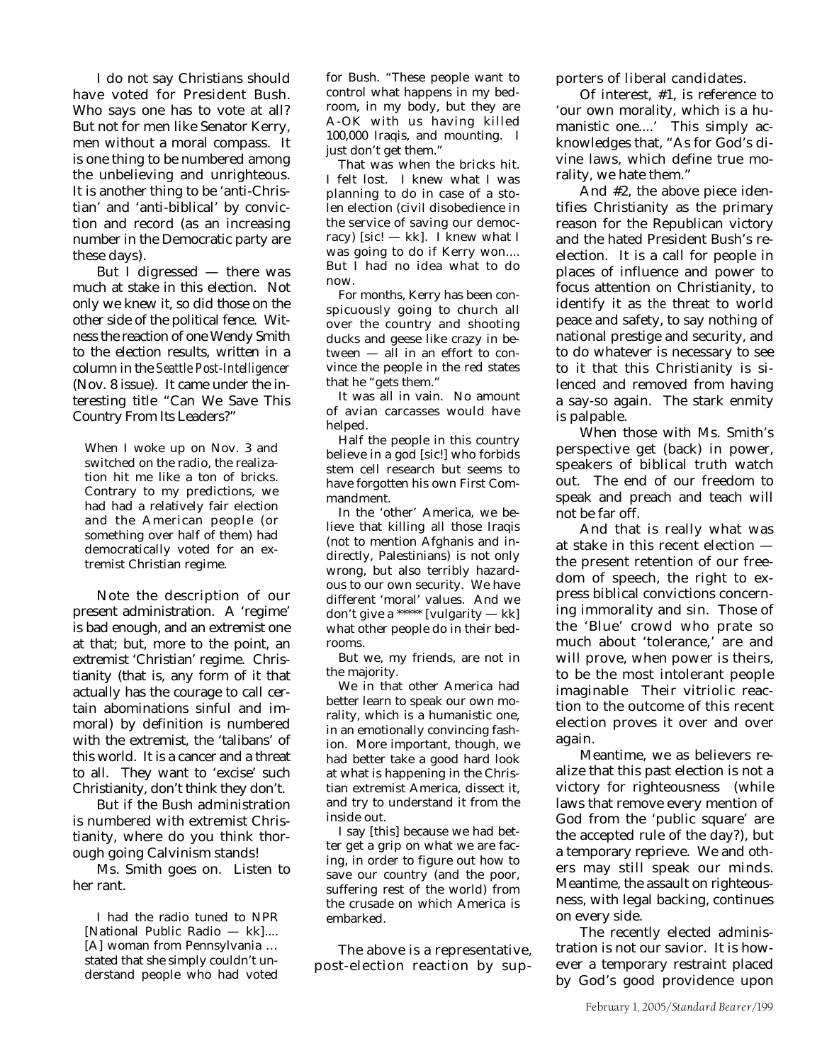I do not say Christians should have voted for President Bush. Who says one has to vote at all? But not for men like Senator Kerry, men without a moral compass. It is one thing to be numbered among the unbelieving and unrighteous. It is another thing to be 'anti-Christian' and 'anti-biblical' by conviction and record (as an increasing number in the Democratic party are these days).

But I digressed  $-$  there was much at stake in this election. Not only we knew it, so did those on the other side of the political fence. Witness the reaction of one Wendy Smith to the election results, written in a column in the *Seattle Post-Intelligencer* (Nov. 8 issue). It came under the interesting title "Can We Save This Country From Its Leaders?"

When I woke up on Nov. 3 and switched on the radio, the realization hit me like a ton of bricks. Contrary to my predictions, we had had a relatively fair election and the American people (or something over half of them) had democratically voted for an extremist Christian regime.

Note the description of our present administration. A 'regime' is bad enough, and an extremist one at that; but, more to the point, an extremist 'Christian' regime. Christianity (that is, any form of it that actually has the courage to call certain abominations sinful and immoral) by definition is numbered with the extremist, the 'talibans' of this world. It is a cancer and a threat to all. They want to 'excise' such Christianity, don't think they don't.

But if the Bush administration is numbered with extremist Christianity, where do you think thorough going Calvinism stands!

Ms. Smith goes on. Listen to her rant.

I had the radio tuned to NPR [National Public Radio — kk].... [A] woman from Pennsylvania … stated that she simply couldn't understand people who had voted

for Bush. "These people want to control what happens in my bedroom, in my body, but they are A-OK with us having killed 100,000 Iraqis, and mounting. I just don't get them."

That was when the bricks hit. I felt lost. I knew what I was planning to do in case of a stolen election (civil disobedience in the service of saving our democracy) [sic!  $-$  kk]. I knew what I was going to do if Kerry won.... But I had no idea what to do now.

For months, Kerry has been conspicuously going to church all over the country and shooting ducks and geese like crazy in between — all in an effort to convince the people in the red states that he "gets them."

It was all in vain. No amount of avian carcasses would have helped.

Half the people in this country believe in a god [sic!] who forbids stem cell research but seems to have forgotten his own First Commandment.

In the 'other' America, we believe that killing all those Iraqis (not to mention Afghanis and indirectly, Palestinians) is not only wrong, but also terribly hazardous to our own security. We have different 'moral' values. And we don't give a \*\*\*\*\* [vulgarity — kk] what other people do in their bedrooms.

But we, my friends, are not in the majority.

We in that other America had better learn to speak our own morality, which is a humanistic one, in an emotionally convincing fashion. More important, though, we had better take a good hard look at what is happening in the Christian extremist America, dissect it, and try to understand it from the inside out.

I say [this] because we had better get a grip on what we are facing, in order to figure out how to save our country (and the poor, suffering rest of the world) from the crusade on which America is embarked.

The above is a representative, post-election reaction by supporters of liberal candidates.

Of interest, #1, is reference to 'our own morality, which is a humanistic one....' This simply acknowledges that, "As for God's divine laws, which define true morality, we hate them."

And #2, the above piece identifies Christianity as the primary reason for the Republican victory and the hated President Bush's reelection. It is a call for people in places of influence and power to focus attention on Christianity, to identify it as *the* threat to world peace and safety, to say nothing of national prestige and security, and to do whatever is necessary to see to it that this Christianity is silenced and removed from having a say-so again. The stark enmity is palpable.

When those with Ms. Smith's perspective get (back) in power, speakers of biblical truth watch out. The end of our freedom to speak and preach and teach will not be far off.

And that is really what was at stake in this recent election the present retention of our freedom of speech, the right to express biblical convictions concerning immorality and sin. Those of the 'Blue' crowd who prate so much about 'tolerance,' are and will prove, when power is theirs, to be the most intolerant people imaginable Their vitriolic reaction to the outcome of this recent election proves it over and over again.

Meantime, we as believers realize that this past election is not a victory for righteousness (while laws that remove every mention of God from the 'public square' are the accepted rule of the day?), but a temporary reprieve. We and others may still speak our minds. Meantime, the assault on righteousness, with legal backing, continues on every side.

The recently elected administration is not our savior. It is however a temporary restraint placed by God's good providence upon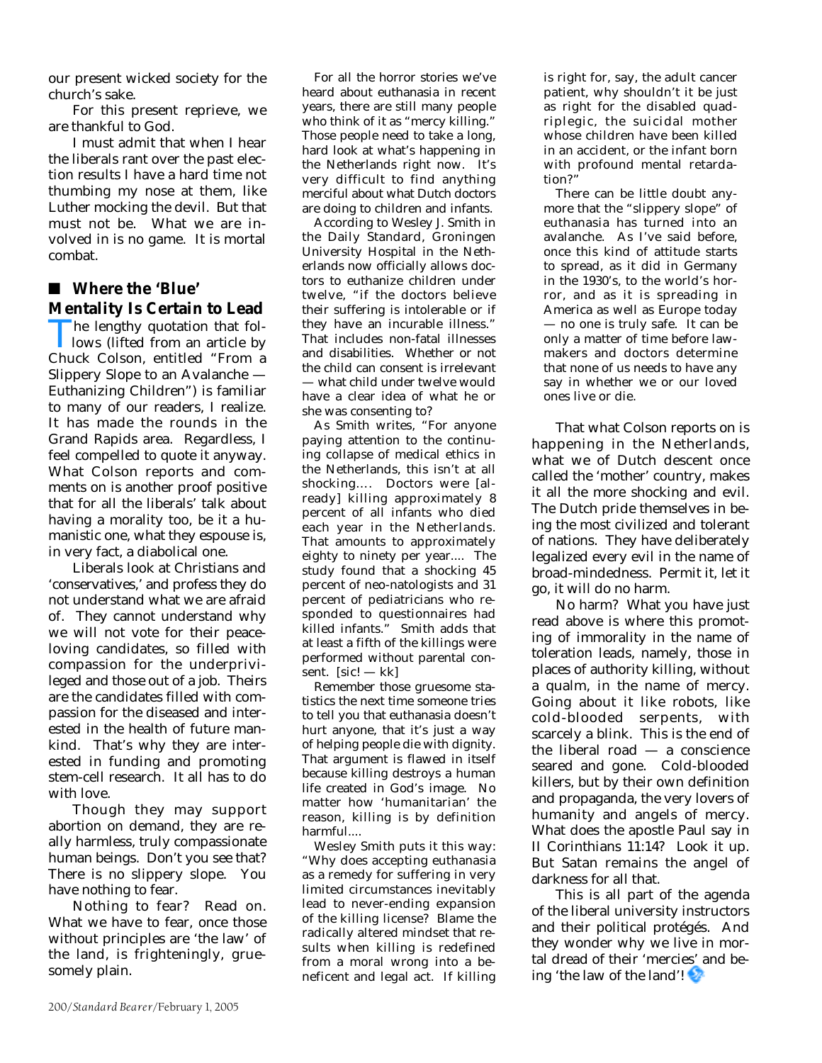our present wicked society for the church's sake.

For this present reprieve, we are thankful to God.

I must admit that when I hear the liberals rant over the past election results I have a hard time not thumbing my nose at them, like Luther mocking the devil. But that must not be. What we are involved in is no game. It is mortal combat.

## ■ Where the 'Blue' **Mentality Is Certain to Lead**

The lengthy quotation that follows (lifted from an article by Chuck Colson, entitled "From a lows (lifted from an article by Slippery Slope to an Avalanche — Euthanizing Children") is familiar to many of our readers, I realize. It has made the rounds in the Grand Rapids area. Regardless, I feel compelled to quote it anyway. What Colson reports and comments on is another proof positive that for all the liberals' talk about having a morality too, be it a humanistic one, what they espouse is, in very fact, a diabolical one.

Liberals look at Christians and 'conservatives,' and profess they do not understand what we are afraid of. They cannot understand why we will not vote for their peaceloving candidates, so filled with compassion for the underprivileged and those out of a job. Theirs are the candidates filled with compassion for the diseased and interested in the health of future mankind. That's why they are interested in funding and promoting stem-cell research. It all has to do with love.

Though they may support abortion on demand, they are really harmless, truly compassionate human beings. Don't you see that? There is no slippery slope. You have nothing to fear.

Nothing to fear? Read on. What we have to fear, once those without principles are 'the law' of the land, is frighteningly, gruesomely plain.

For all the horror stories we've heard about euthanasia in recent years, there are still many people who think of it as "mercy killing." Those people need to take a long, hard look at what's happening in the Netherlands right now. It's very difficult to find anything merciful about what Dutch doctors are doing to children and infants.

According to Wesley J. Smith in the Daily Standard, Groningen University Hospital in the Netherlands now officially allows doctors to euthanize children under twelve, "if the doctors believe their suffering is intolerable or if they have an incurable illness." That includes non-fatal illnesses and disabilities. Whether or not the child can consent is irrelevant — what child under twelve would have a clear idea of what he or she was consenting to?

As Smith writes, "For anyone paying attention to the continuing collapse of medical ethics in the Netherlands, this isn't at all shocking…. Doctors were [already] killing approximately 8 percent of all infants who died each year in the Netherlands. That amounts to approximately eighty to ninety per year.... The study found that a shocking 45 percent of neo-natologists and 31 percent of pediatricians who responded to questionnaires had killed infants." Smith adds that at least a fifth of the killings were performed without parental consent.  $[sic! - kk]$ 

Remember those gruesome statistics the next time someone tries to tell you that euthanasia doesn't hurt anyone, that it's just a way of helping people die with dignity. That argument is flawed in itself because killing destroys a human life created in God's image. No matter how 'humanitarian' the reason, killing is by definition harmful....

Wesley Smith puts it this way: "Why does accepting euthanasia as a remedy for suffering in very limited circumstances inevitably lead to never-ending expansion of the killing license? Blame the radically altered mindset that results when killing is redefined from a moral wrong into a beneficent and legal act. If killing

is right for, say, the adult cancer patient, why shouldn't it be just as right for the disabled quadriplegic, the suicidal mother whose children have been killed in an accident, or the infant born with profound mental retardation?

There can be little doubt anymore that the "slippery slope" of euthanasia has turned into an avalanche. As I've said before, once this kind of attitude starts to spread, as it did in Germany in the 1930's, to the world's horror, and as it is spreading in America as well as Europe today — no one is truly safe. It can be only a matter of time before lawmakers and doctors determine that none of us needs to have any say in whether we or our loved ones live or die.

That what Colson reports on is happening in the Netherlands, what we of Dutch descent once called the 'mother' country, makes it all the more shocking and evil. The Dutch pride themselves in being the most civilized and tolerant of nations. They have deliberately legalized every evil in the name of broad-mindedness. Permit it, let it go, it will do no harm.

No harm? What you have just read above is where this promoting of immorality in the name of toleration leads, namely, those in places of authority killing, without a qualm, in the name of mercy. Going about it like robots, like cold-blooded serpents, with scarcely a blink. This is the end of the liberal road — a conscience seared and gone. Cold-blooded killers, but by their own definition and propaganda, the very lovers of humanity and angels of mercy. What does the apostle Paul say in II Corinthians 11:14? Look it up. But Satan remains the angel of darkness for all that.

This is all part of the agenda of the liberal university instructors and their political protégés. And they wonder why we live in mortal dread of their 'mercies' and being 'the law of the land'!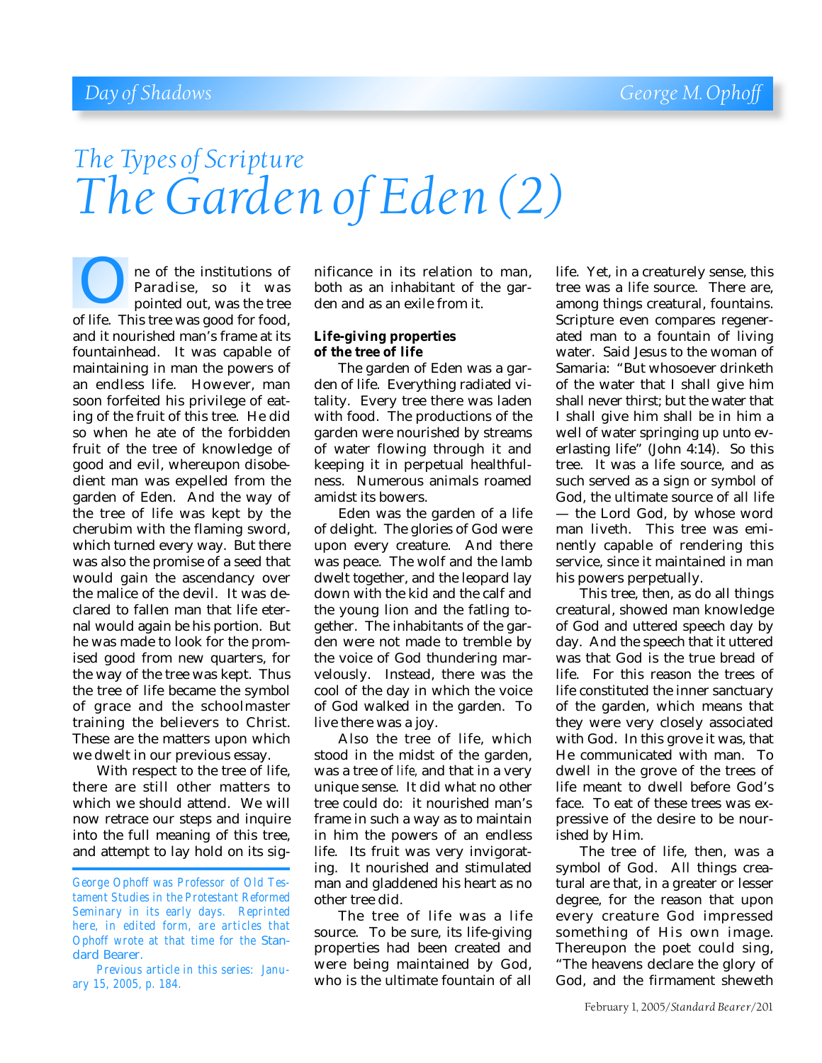# *The Types of Scripture The Garden of Eden (2)*

ne of the institutions of Paradise, so it was pointed out, was the tree **Example 18 September 18 September 18 September 18 September 18 September 18 September 18 September 18 September 18 September 18 September 18 September 18 September 18 September 18 September 18 September 18 September 18 Se** and it nourished man's frame at its fountainhead. It was capable of maintaining in man the powers of an endless life. However, man soon forfeited his privilege of eating of the fruit of this tree. He did so when he ate of the forbidden fruit of the tree of knowledge of good and evil, whereupon disobedient man was expelled from the garden of Eden. And the way of the tree of life was kept by the cherubim with the flaming sword, which turned every way. But there was also the promise of a seed that would gain the ascendancy over the malice of the devil. It was declared to fallen man that life eternal would again be his portion. But he was made to look for the promised good from new quarters, for the way of the tree was kept. Thus the tree of life became the symbol of grace and the schoolmaster training the believers to Christ. These are the matters upon which we dwelt in our previous essay.

With respect to the tree of life, there are still other matters to which we should attend. We will now retrace our steps and inquire into the full meaning of this tree, and attempt to lay hold on its significance in its relation to man, both as an inhabitant of the garden and as an exile from it.

#### **Life-giving properties of the tree of life**

The garden of Eden was a garden of life. Everything radiated vitality. Every tree there was laden with food. The productions of the garden were nourished by streams of water flowing through it and keeping it in perpetual healthfulness. Numerous animals roamed amidst its bowers.

Eden was the garden of a life of delight. The glories of God were upon every creature. And there was peace. The wolf and the lamb dwelt together, and the leopard lay down with the kid and the calf and the young lion and the fatling together. The inhabitants of the garden were not made to tremble by the voice of God thundering marvelously. Instead, there was the cool of the day in which the voice of God walked in the garden. To live there was a joy.

Also the tree of life, which stood in the midst of the garden, was a tree of *life,* and that in a very unique sense. It did what no other tree could do: it nourished man's frame in such a way as to maintain in him the powers of an endless life. Its fruit was very invigorating. It nourished and stimulated man and gladdened his heart as no other tree did.

The tree of life was a life source. To be sure, its life-giving properties had been created and were being maintained by God, who is the ultimate fountain of all

life. Yet, in a creaturely sense, this tree was a life source. There are, among things creatural, fountains. Scripture even compares regenerated man to a fountain of living water. Said Jesus to the woman of Samaria: "But whosoever drinketh of the water that I shall give him shall never thirst; but the water that I shall give him shall be in him a well of water springing up unto everlasting life" (John 4:14). So this tree. It was a life source, and as such served as a sign or symbol of God, the ultimate source of all life — the Lord God, by whose word man liveth. This tree was eminently capable of rendering this service, since it maintained in man his powers perpetually.

This tree, then, as do all things creatural, showed man knowledge of God and uttered speech day by day. And the speech that it uttered was that God is the true bread of life. For this reason the trees of life constituted the inner sanctuary of the garden, which means that they were very closely associated with God. In this grove it was, that He communicated with man. To dwell in the grove of the trees of life meant to dwell before God's face. To eat of these trees was expressive of the desire to be nourished by Him.

The tree of life, then, was a symbol of God. All things creatural are that, in a greater or lesser degree, for the reason that upon every creature God impressed something of His own image. Thereupon the poet could sing, "The heavens declare the glory of God, and the firmament sheweth

*George Ophoff was Professor of Old Testament Studies in the Protestant Reformed Seminary in its early days. Reprinted here, in edited form, are articles that Ophoff wrote at that time for the* Standard Bearer.

*Previous article in this series: January 15, 2005, p. 184.*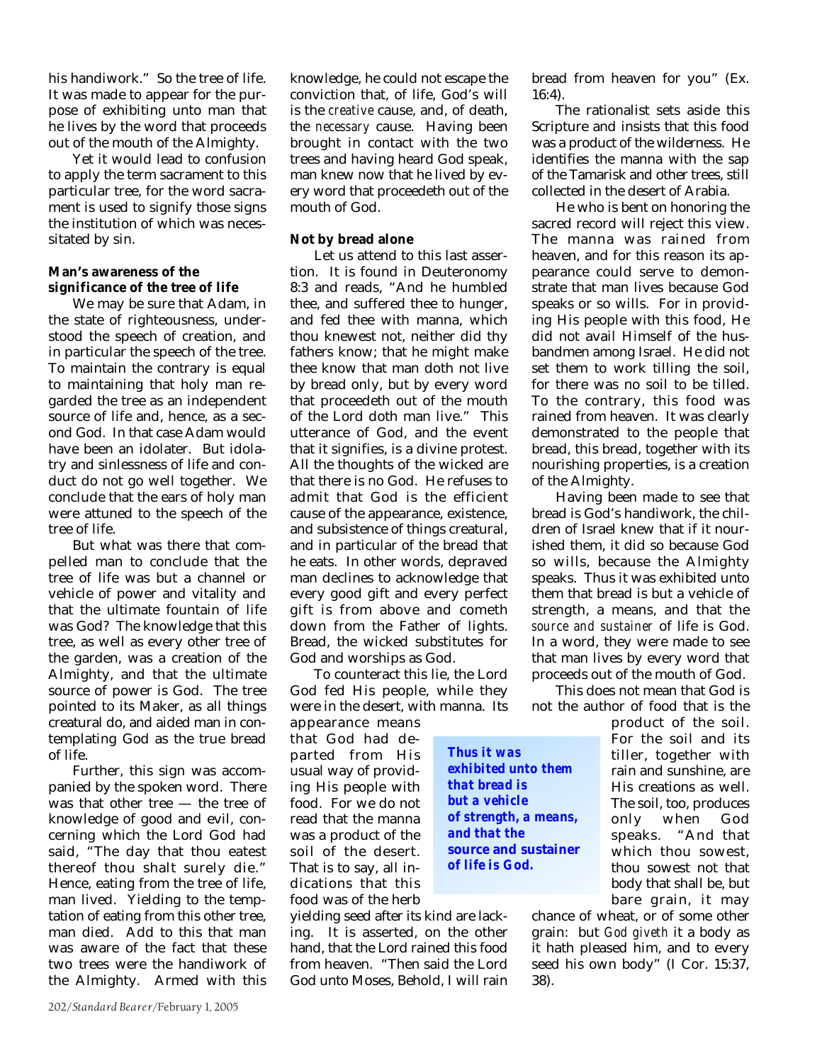his handiwork." So the tree of life. It was made to appear for the purpose of exhibiting unto man that he lives by the word that proceeds out of the mouth of the Almighty.

Yet it would lead to confusion to apply the term sacrament to this particular tree, for the word sacrament is used to signify those signs the institution of which was necessitated by sin.

#### **Man's awareness of the significance of the tree of life**

We may be sure that Adam, in the state of righteousness, understood the speech of creation, and in particular the speech of the tree. To maintain the contrary is equal to maintaining that holy man regarded the tree as an independent source of life and, hence, as a second God. In that case Adam would have been an idolater. But idolatry and sinlessness of life and conduct do not go well together. We conclude that the ears of holy man were attuned to the speech of the tree of life.

But what was there that compelled man to conclude that the tree of life was but a channel or vehicle of power and vitality and that the ultimate fountain of life was God? The knowledge that this tree, as well as every other tree of the garden, was a creation of the Almighty, and that the ultimate source of power is God. The tree pointed to its Maker, as all things creatural do, and aided man in contemplating God as the true bread of life.

Further, this sign was accompanied by the spoken word. There was that other tree — the tree of knowledge of good and evil, concerning which the Lord God had said, "The day that thou eatest thereof thou shalt surely die." Hence, eating from the tree of life, man lived. Yielding to the temptation of eating from this other tree, man died. Add to this that man was aware of the fact that these two trees were the handiwork of the Almighty. Armed with this knowledge, he could not escape the conviction that, of life, God's will is the *creative* cause, and, of death, the *necessary* cause. Having been brought in contact with the two trees and having heard God speak, man knew now that he lived by every word that proceedeth out of the mouth of God.

### **Not by bread alone**

Let us attend to this last assertion. It is found in Deuteronomy 8:3 and reads, "And he humbled thee, and suffered thee to hunger, and fed thee with manna, which thou knewest not, neither did thy fathers know; that he might make thee know that man doth not live by bread only, but by every word that proceedeth out of the mouth of the Lord doth man live." This utterance of God, and the event that it signifies, is a divine protest. All the thoughts of the wicked are that there is no God. He refuses to admit that God is the efficient cause of the appearance, existence, and subsistence of things creatural, and in particular of the bread that he eats. In other words, depraved man declines to acknowledge that every good gift and every perfect gift is from above and cometh down from the Father of lights. Bread, the wicked substitutes for God and worships as God.

To counteract this lie, the Lord God fed His people, while they were in the desert, with manna. Its

*Thus it was*

*and that the*

*of life is God.*

*exhibited unto them that bread is but a vehicle*

*of strength, a means,*

**source and sustainer**

appearance means that God had departed from His usual way of providing His people with food. For we do not read that the manna was a product of the soil of the desert. That is to say, all indications that this food was of the herb

yielding seed after its kind are lacking. It is asserted, on the other hand, that the Lord rained this food from heaven. "Then said the Lord God unto Moses, Behold, I will rain

bread from heaven for you" (Ex. 16:4).

The rationalist sets aside this Scripture and insists that this food was a product of the wilderness. He identifies the manna with the sap of the Tamarisk and other trees, still collected in the desert of Arabia.

He who is bent on honoring the sacred record will reject this view. The manna was rained from heaven, and for this reason its appearance could serve to demonstrate that man lives because God speaks or so wills. For in providing His people with this food, He did not avail Himself of the husbandmen among Israel. He did not set them to work tilling the soil, for there was no soil to be tilled. To the contrary, this food was rained from heaven. It was clearly demonstrated to the people that bread, this bread, together with its nourishing properties, is a creation of the Almighty.

Having been made to see that bread is God's handiwork, the children of Israel knew that if it nourished them, it did so because God so wills, because the Almighty speaks. Thus it was exhibited unto them that bread is but a vehicle of strength, a means, and that the *source and sustainer* of life is God. In a word, they were made to see that man lives by every word that proceeds out of the mouth of God.

This does not mean that God is not the author of food that is the

> product of the soil. For the soil and its tiller, together with rain and sunshine, are His creations as well. The soil, too, produces only when God speaks. "And that which thou sowest, thou sowest not that body that shall be, but bare grain, it may

chance of wheat, or of some other grain: but *God giveth* it a body as it hath pleased him, and to every seed his own body" (I Cor. 15:37, 38).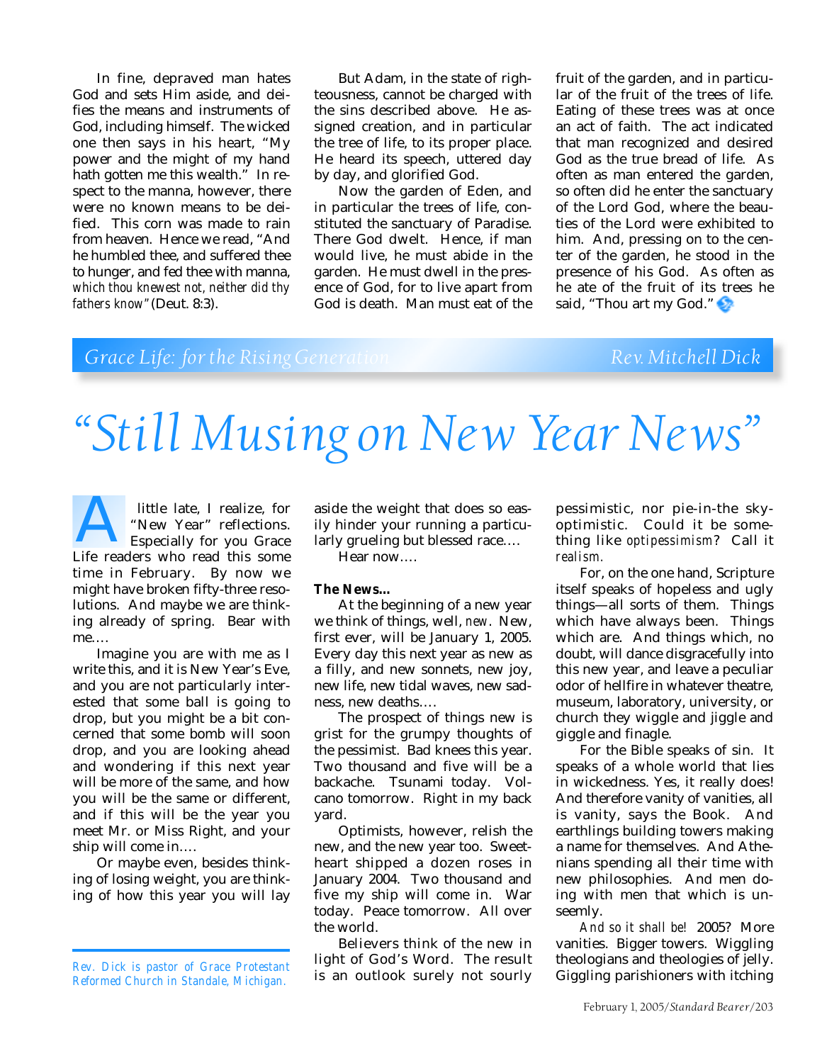In fine, depraved man hates God and sets Him aside, and deifies the means and instruments of God, including himself. The wicked one then says in his heart, "My power and the might of my hand hath gotten me this wealth." In respect to the manna, however, there were no known means to be deified. This corn was made to rain from heaven. Hence we read, "And he humbled thee, and suffered thee to hunger, and fed thee with manna, *which thou knewest not, neither did thy fathers know"*(Deut. 8:3).

But Adam, in the state of righteousness, cannot be charged with the sins described above. He assigned creation, and in particular the tree of life, to its proper place. He heard its speech, uttered day by day, and glorified God.

Now the garden of Eden, and in particular the trees of life, constituted the sanctuary of Paradise. There God dwelt. Hence, if man would live, he must abide in the garden. He must dwell in the presence of God, for to live apart from God is death. Man must eat of the

fruit of the garden, and in particular of the fruit of the trees of life. Eating of these trees was at once an act of faith. The act indicated that man recognized and desired God as the true bread of life. As often as man entered the garden, so often did he enter the sanctuary of the Lord God, where the beauties of the Lord were exhibited to him. And, pressing on to the center of the garden, he stood in the presence of his God. As often as he ate of the fruit of its trees he said, "Thou art my God."

## **Grace Life: for the Rising Generation Rev. Mitchell Dick**

# *"Still Musing on New Year News"*

 little late, I realize, for "New Year" reflections. Especially for you Grace Ittle late, I realize, for<br>
"New Year" reflections.<br>
Especially for you Grace<br>
Life readers who read this some time in February. By now we might have broken fifty-three resolutions. And maybe we are thinking already of spring. Bear with me….

Imagine you are with me as I write this, and it is New Year's Eve, and you are not particularly interested that some ball is going to drop, but you might be a bit concerned that some bomb will soon drop, and you are looking ahead and wondering if this next year will be more of the same, and how you will be the same or different, and if this will be the year you meet Mr. or Miss Right, and your ship will come in….

Or maybe even, besides thinking of losing weight, you are thinking of how this year you will lay

aside the weight that does so easily hinder your running a particularly grueling but blessed race….

Hear now….

#### **The News…**

At the beginning of a new year we think of things, well, *new*. New, first ever, will be January 1, 2005. Every day this next year as new as a filly, and new sonnets, new joy, new life, new tidal waves, new sadness, new deaths….

The prospect of things new is grist for the grumpy thoughts of the pessimist. Bad knees this year. Two thousand and five will be a backache. Tsunami today. Volcano tomorrow. Right in my back yard.

Optimists, however, relish the new, and the new year too. Sweetheart shipped a dozen roses in January 2004. Two thousand and five my ship will come in. War today. Peace tomorrow. All over the world.

Believers think of the new in light of God's Word. The result is an outlook surely not sourly pessimistic, nor pie-in-the skyoptimistic. Could it be something like *optipessimism*? Call it *realism.*

For, on the one hand, Scripture itself speaks of hopeless and ugly things—all sorts of them. Things which have always been. Things which are. And things which, no doubt, will dance disgracefully into this new year, and leave a peculiar odor of hellfire in whatever theatre, museum, laboratory, university, or church they wiggle and jiggle and giggle and finagle.

For the Bible speaks of sin. It speaks of a whole world that lies in wickedness. Yes, it really does! And therefore vanity of vanities, all is vanity, says the Book. And earthlings building towers making a name for themselves. And Athenians spending all their time with new philosophies. And men doing with men that which is unseemly.

*And so it shall be!* 2005? More vanities. Bigger towers. Wiggling theologians and theologies of jelly. Giggling parishioners with itching

*Rev. Dick is pastor of Grace Protestant Reformed Church in Standale, Michigan.*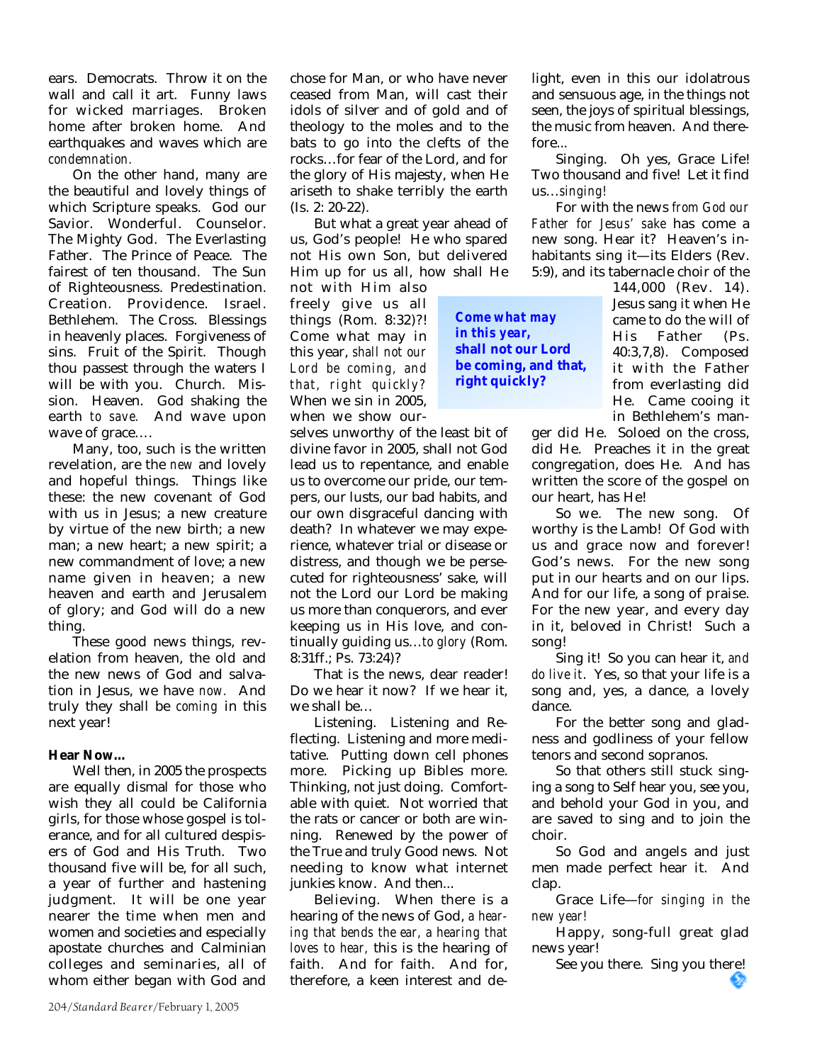ears. Democrats. Throw it on the wall and call it art. Funny laws for wicked marriages. Broken home after broken home. And earthquakes and waves which are *condemnation.*

On the other hand, many are the beautiful and lovely things of which Scripture speaks. God our Savior. Wonderful. Counselor. The Mighty God. The Everlasting Father. The Prince of Peace. The fairest of ten thousand. The Sun of Righteousness. Predestination. Creation. Providence. Israel. Bethlehem. The Cross. Blessings in heavenly places. Forgiveness of sins. Fruit of the Spirit. Though thou passest through the waters I will be with you. Church. Mission. Heaven. God shaking the earth *to save.* And wave upon wave of grace….

Many, too, such is the written revelation, are the *new* and lovely and hopeful things. Things like these: the new covenant of God with us in Jesus; a new creature by virtue of the new birth; a new man; a new heart; a new spirit; a new commandment of love; a new name given in heaven; a new heaven and earth and Jerusalem of glory; and God will do a new thing.

These good news things, revelation from heaven, the old and the new news of God and salvation in Jesus, we have *now.* And truly they shall be *coming* in this next year!

#### **Hear Now…**

Well then, in 2005 the prospects are equally dismal for those who wish they all could be California girls, for those whose gospel is tolerance, and for all cultured despisers of God and His Truth. Two thousand five will be, for all such, a year of further and hastening judgment. It will be one year nearer the time when men and women and societies and especially apostate churches and Calminian colleges and seminaries, all of whom either began with God and

chose for Man, or who have never ceased from Man, will cast their idols of silver and of gold and of theology to the moles and to the bats to go into the clefts of the rocks…for fear of the Lord, and for the glory of His majesty, when He ariseth to shake terribly the earth (Is. 2: 20-22).

But what a great year ahead of us, God's people! He who spared not His own Son, but delivered Him up for us all, how shall He

not with Him also freely give us all things (Rom. 8:32)?! Come what may in this year, *shall not our Lord be coming, and that, right quickly?* When we sin in 2005, when we show our-

selves unworthy of the least bit of divine favor in 2005, shall not God lead us to repentance, and enable us to overcome our pride, our tempers, our lusts, our bad habits, and our own disgraceful dancing with death? In whatever we may experience, whatever trial or disease or distress, and though we be persecuted for righteousness' sake, will not the Lord our Lord be making us more than conquerors, and ever keeping us in His love, and continually guiding us…*to glory* (Rom. 8:31ff.; Ps. 73:24)?

That is the news, dear reader! Do we hear it now? If we hear it, we shall be…

Listening. Listening and Reflecting. Listening and more meditative. Putting down cell phones more. Picking up Bibles more. Thinking, not just doing. Comfortable with quiet. Not worried that the rats or cancer or both are winning. Renewed by the power of the True and truly Good news. Not needing to know what internet junkies know. And then...

Believing. When there is a hearing of the news of God, *a hearing that bends the ear, a hearing that loves to hear,* this is the hearing of faith. And for faith. And for, therefore, a keen interest and delight, even in this our idolatrous and sensuous age, in the things not seen, the joys of spiritual blessings, the music from heaven. And therefore...

Singing. Oh yes, Grace Life! Two thousand and five! Let it find us…*singing!*

For with the news *from God our Father for Jesus' sake* has come a new song. Hear it? Heaven's inhabitants sing it—its Elders (Rev. 5:9), and its tabernacle choir of the

*Come what may in this year,* **shall not our Lord be coming, and that, right quickly?**

144,000 (Rev. 14). Jesus sang it when He came to do the will of His Father (Ps. 40:3,7,8). Composed it with the Father from everlasting did He. Came cooing it in Bethlehem's man-

ger did He. Soloed on the cross, did He. Preaches it in the great congregation, does He. And has written the score of the gospel on our heart, has He!

So we. The new song. Of worthy is the Lamb! Of God with us and grace now and forever! God's news. For the new song put in our hearts and on our lips. And for our life, a song of praise. For the new year, and every day in it, beloved in Christ! Such a song!

Sing it! So you can hear it, *and do live it*. Yes, so that your life is a song and, yes, a dance, a lovely dance.

For the better song and gladness and godliness of your fellow tenors and second sopranos.

So that others still stuck singing a song to Self hear you, see you, and behold your God in you, and are saved to sing and to join the choir.

So God and angels and just men made perfect hear it. And clap.

Grace Life—*for singing in the new year!*

Happy, song-full great glad news year!

See you there. Sing you there!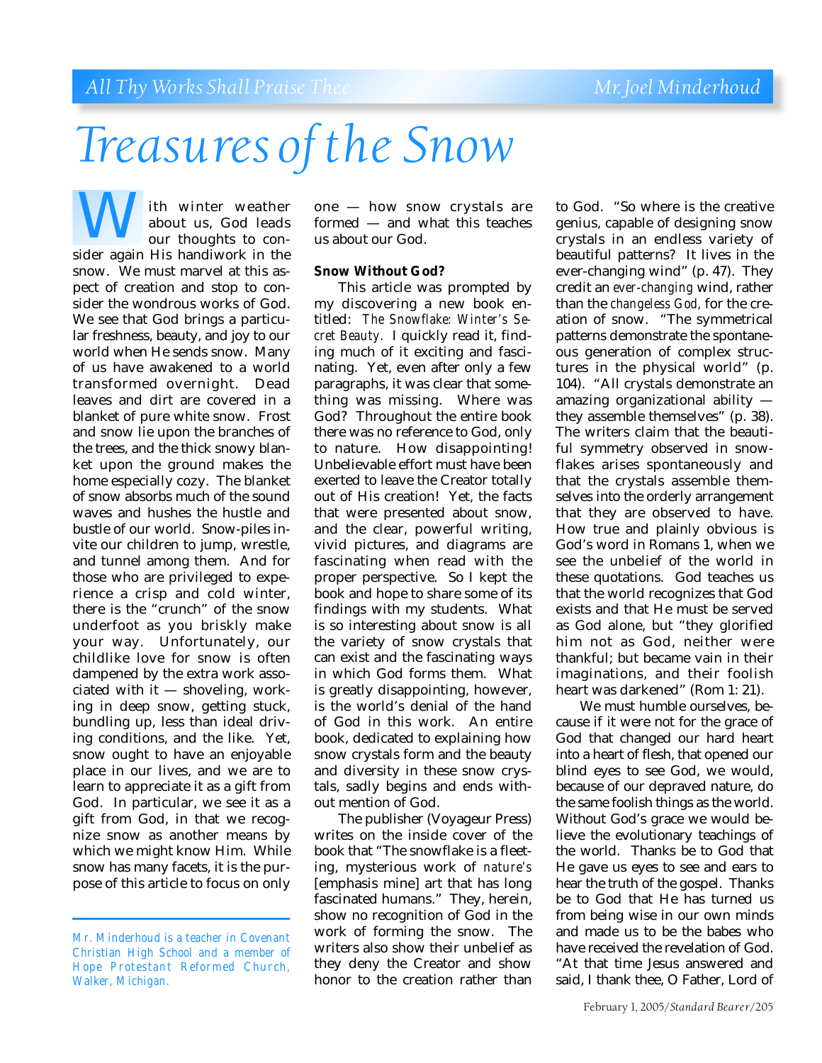# *Treasures of the Snow*

ith winter weather about us, God leads our thoughts to con-**Sider and Sider again His handiwork in the sider again His handiwork in the** snow. We must marvel at this aspect of creation and stop to consider the wondrous works of God. We see that God brings a particular freshness, beauty, and joy to our world when He sends snow. Many of us have awakened to a world transformed overnight. Dead leaves and dirt are covered in a blanket of pure white snow. Frost and snow lie upon the branches of the trees, and the thick snowy blanket upon the ground makes the home especially cozy. The blanket of snow absorbs much of the sound waves and hushes the hustle and bustle of our world. Snow-piles invite our children to jump, wrestle, and tunnel among them. And for those who are privileged to experience a crisp and cold winter, there is the "crunch" of the snow underfoot as you briskly make your way. Unfortunately, our childlike love for snow is often dampened by the extra work associated with it — shoveling, working in deep snow, getting stuck, bundling up, less than ideal driving conditions, and the like. Yet, snow ought to have an enjoyable place in our lives, and we are to learn to appreciate it as a gift from God. In particular, we see it as a gift from God, in that we recognize snow as another means by which we might know Him. While snow has many facets, it is the purpose of this article to focus on only

one — how snow crystals are formed — and what this teaches us about our God.

### **Snow Without God?**

This article was prompted by my discovering a new book entitled: *The Snowflake: Winter's Secret Beauty.* I quickly read it, finding much of it exciting and fascinating. Yet, even after only a few paragraphs, it was clear that something was missing. Where was God? Throughout the entire book there was no reference to God, only to nature. How disappointing! Unbelievable effort must have been exerted to leave the Creator totally out of His creation! Yet, the facts that were presented about snow, and the clear, powerful writing, vivid pictures, and diagrams are fascinating when read with the proper perspective. So I kept the book and hope to share some of its findings with my students. What is so interesting about snow is all the variety of snow crystals that can exist and the fascinating ways in which God forms them. What is greatly disappointing, however, is the world's denial of the hand of God in this work. An entire book, dedicated to explaining how snow crystals form and the beauty and diversity in these snow crystals, sadly begins and ends without mention of God.

The publisher (Voyageur Press) writes on the inside cover of the book that "The snowflake is a fleeting, mysterious work of *nature's* [emphasis mine] art that has long fascinated humans." They, herein, show no recognition of God in the work of forming the snow. The writers also show their unbelief as they deny the Creator and show honor to the creation rather than

to God. "So where is the creative genius, capable of designing snow crystals in an endless variety of beautiful patterns? It lives in the ever-changing wind" (p. 47). They credit an *ever-changing* wind, rather than the *changeless God,* for the creation of snow. "The symmetrical patterns demonstrate the spontaneous generation of complex structures in the physical world" (p. 104). "All crystals demonstrate an amazing organizational ability they assemble themselves" (p. 38). The writers claim that the beautiful symmetry observed in snowflakes arises spontaneously and that the crystals assemble themselves into the orderly arrangement that they are observed to have. How true and plainly obvious is God's word in Romans 1, when we see the unbelief of the world in these quotations. God teaches us that the world recognizes that God exists and that He must be served as God alone, but "they glorified him not as God, neither were thankful; but became vain in their imaginations, and their foolish heart was darkened" (Rom 1: 21).

We must humble ourselves, because if it were not for the grace of God that changed our hard heart into a heart of flesh, that opened our blind eyes to see God, we would, because of our depraved nature, do the same foolish things as the world. Without God's grace we would believe the evolutionary teachings of the world. Thanks be to God that He gave us eyes to see and ears to hear the truth of the gospel. Thanks be to God that He has turned us from being wise in our own minds and made us to be the babes who have received the revelation of God. "At that time Jesus answered and said, I thank thee, O Father, Lord of

*Mr. Minderhoud is a teacher in Covenant Christian High School and a member of Hope Protestant Reformed Church, Walker, Michigan.*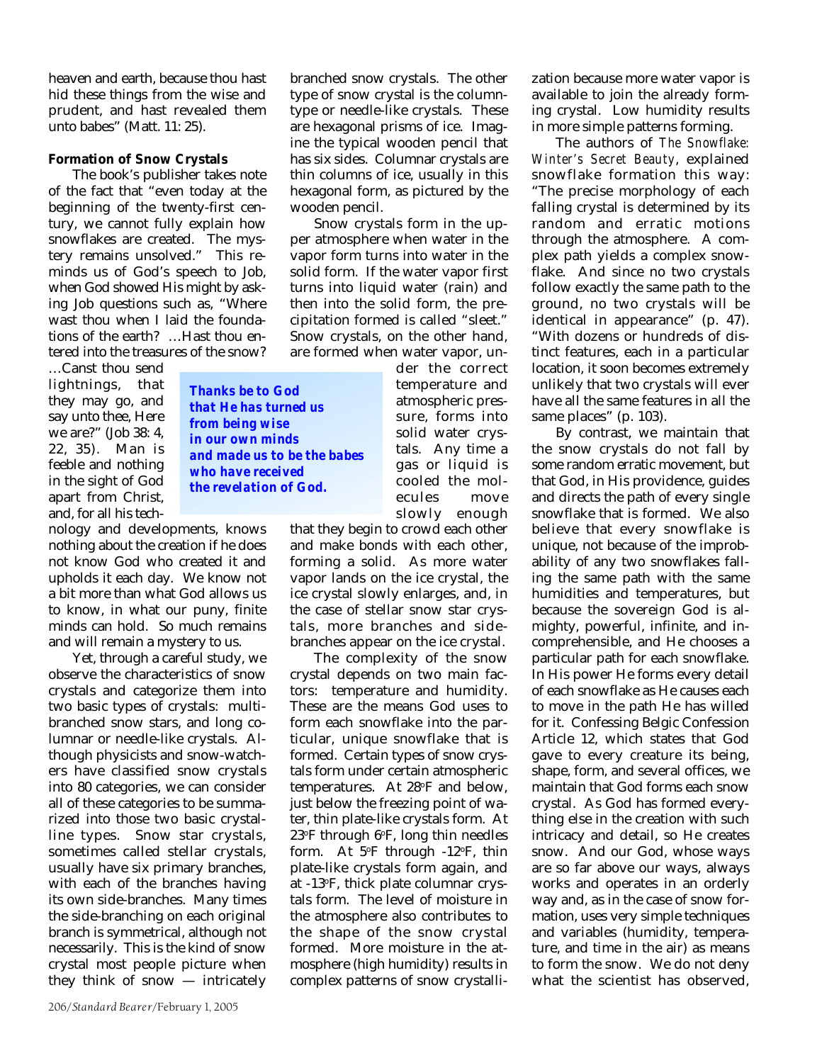heaven and earth, because thou hast hid these things from the wise and prudent, and hast revealed them unto babes" (Matt. 11: 25).

#### **Formation of Snow Crystals**

The book's publisher takes note of the fact that "even today at the beginning of the twenty-first century, we cannot fully explain how snowflakes are created. The mystery remains unsolved." This reminds us of God's speech to Job, when God showed His might by asking Job questions such as, "Where wast thou when I laid the foundations of the earth? …Hast thou entered into the treasures of the snow?

> *Thanks be to God that He has turned us from being wise in our own minds*

*who have received the revelation of God.*

*and made us to be the babes*

…Canst thou send lightnings, that they may go, and say unto thee, Here we are?" (Job 38: 4, 22, 35). Man is feeble and nothing in the sight of God apart from Christ, and, for all his tech-

nology and developments, knows nothing about the creation if he does not know God who created it and upholds it each day. We know not a bit more than what God allows us to know, in what our puny, finite minds can hold. So much remains and will remain a mystery to us.

Yet, through a careful study, we observe the characteristics of snow crystals and categorize them into two basic types of crystals: multibranched snow stars, and long columnar or needle-like crystals. Although physicists and snow-watchers have classified snow crystals into 80 categories, we can consider all of these categories to be summarized into those two basic crystalline types. Snow star crystals, sometimes called stellar crystals, usually have six primary branches, with each of the branches having its own side-branches. Many times the side-branching on each original branch is symmetrical, although not necessarily. This is the kind of snow crystal most people picture when they think of snow — intricately branched snow crystals. The other type of snow crystal is the columntype or needle-like crystals. These are hexagonal prisms of ice. Imagine the typical wooden pencil that has six sides. Columnar crystals are thin columns of ice, usually in this hexagonal form, as pictured by the wooden pencil.

Snow crystals form in the upper atmosphere when water in the vapor form turns into water in the solid form. If the water vapor first turns into liquid water (rain) and then into the solid form, the precipitation formed is called "sleet." Snow crystals, on the other hand, are formed when water vapor, un-

der the correct temperature and atmospheric pressure, forms into solid water crystals. Any time a gas or liquid is cooled the molecules move slowly enough

that they begin to crowd each other and make bonds with each other, forming a solid. As more water vapor lands on the ice crystal, the ice crystal slowly enlarges, and, in the case of stellar snow star crystals, more branches and sidebranches appear on the ice crystal.

The complexity of the snow crystal depends on two main factors: temperature and humidity. These are the means God uses to form each snowflake into the particular, unique snowflake that is formed. Certain types of snow crystals form under certain atmospheric temperatures. At 28°F and below, just below the freezing point of water, thin plate-like crystals form. At 23°F through 6°F, long thin needles form. At 5°F through -12°F, thin plate-like crystals form again, and at -13o F, thick plate columnar crystals form. The level of moisture in the atmosphere also contributes to the shape of the snow crystal formed. More moisture in the atmosphere (high humidity) results in complex patterns of snow crystallization because more water vapor is available to join the already forming crystal. Low humidity results in more simple patterns forming.

The authors of *The Snowflake: Winter's Secret Beauty*, explained snowflake formation this way: "The precise morphology of each falling crystal is determined by its random and erratic motions through the atmosphere. A complex path yields a complex snowflake. And since no two crystals follow exactly the same path to the ground, no two crystals will be identical in appearance" (p. 47). "With dozens or hundreds of distinct features, each in a particular location, it soon becomes extremely unlikely that two crystals will ever have all the same features in all the same places" (p. 103).

By contrast, we maintain that the snow crystals do not fall by some random erratic movement, but that God, in His providence, guides and directs the path of every single snowflake that is formed. We also believe that every snowflake is unique, not because of the improbability of any two snowflakes falling the same path with the same humidities and temperatures, but because the sovereign God is almighty, powerful, infinite, and incomprehensible, and He chooses a particular path for each snowflake. In His power He forms every detail of each snowflake as He causes each to move in the path He has willed for it. Confessing Belgic Confession Article 12, which states that God gave to every creature its being, shape, form, and several offices, we maintain that God forms each snow crystal. As God has formed everything else in the creation with such intricacy and detail, so He creates snow. And our God, whose ways are so far above our ways, always works and operates in an orderly way and, as in the case of snow formation, uses very simple techniques and variables (humidity, temperature, and time in the air) as means to form the snow. We do not deny what the scientist has observed,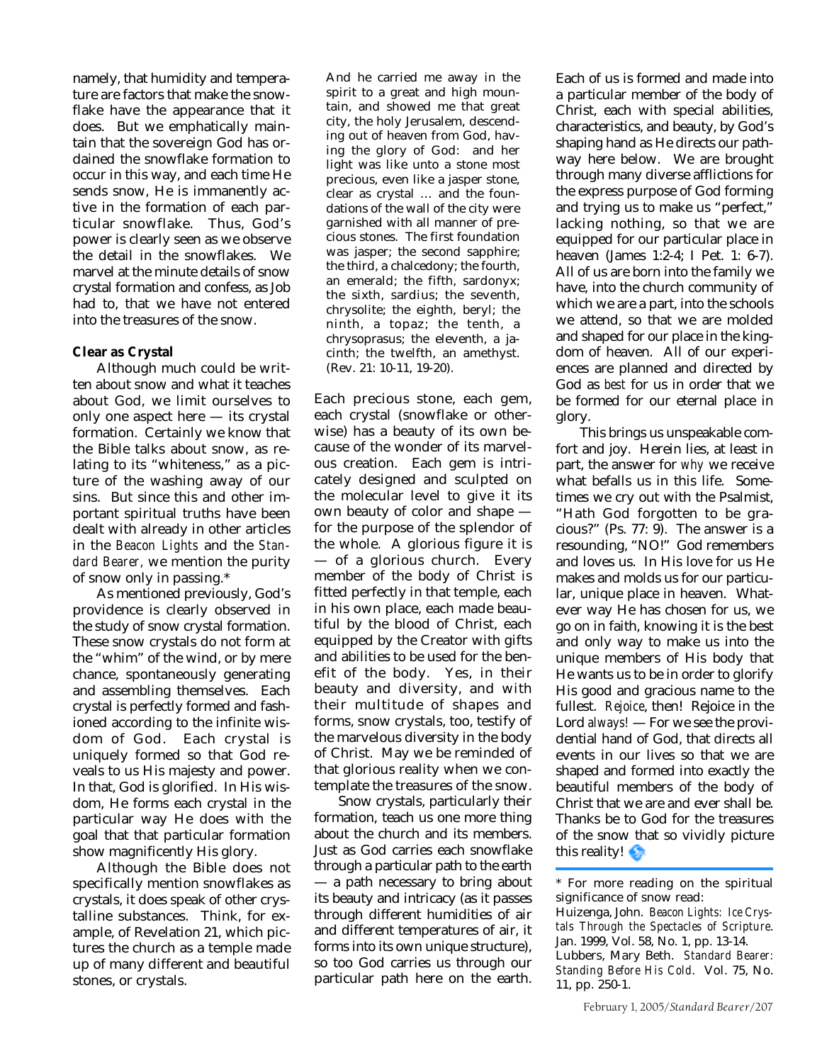namely, that humidity and temperature are factors that make the snowflake have the appearance that it does. But we emphatically maintain that the sovereign God has ordained the snowflake formation to occur in this way, and each time He sends snow, He is immanently active in the formation of each particular snowflake. Thus, God's power is clearly seen as we observe the detail in the snowflakes. We marvel at the minute details of snow crystal formation and confess, as Job had to, that we have not entered into the treasures of the snow.

### **Clear as Crystal**

Although much could be written about snow and what it teaches about God, we limit ourselves to only one aspect here — its crystal formation. Certainly we know that the Bible talks about snow, as relating to its "whiteness," as a picture of the washing away of our sins. But since this and other important spiritual truths have been dealt with already in other articles in the *Beacon Lights* and the *Standard Bearer,* we mention the purity of snow only in passing.\*

As mentioned previously, God's providence is clearly observed in the study of snow crystal formation. These snow crystals do not form at the "whim" of the wind, or by mere chance, spontaneously generating and assembling themselves. Each crystal is perfectly formed and fashioned according to the infinite wisdom of God. Each crystal is uniquely formed so that God reveals to us His majesty and power. In that, God is glorified. In His wisdom, He forms each crystal in the particular way He does with the goal that that particular formation show magnificently His glory.

Although the Bible does not specifically mention snowflakes as crystals, it does speak of other crystalline substances. Think, for example, of Revelation 21, which pictures the church as a temple made up of many different and beautiful stones, or crystals.

And he carried me away in the spirit to a great and high mountain, and showed me that great city, the holy Jerusalem, descending out of heaven from God, having the glory of God: and her light was like unto a stone most precious, even like a jasper stone, clear as crystal … and the foundations of the wall of the city were garnished with all manner of precious stones. The first foundation was jasper; the second sapphire; the third, a chalcedony; the fourth, an emerald; the fifth, sardonyx; the sixth, sardius; the seventh, chrysolite; the eighth, beryl; the ninth, a topaz; the tenth, a chrysoprasus; the eleventh, a jacinth; the twelfth, an amethyst. (Rev. 21: 10-11, 19-20).

Each precious stone, each gem, each crystal (snowflake or otherwise) has a beauty of its own because of the wonder of its marvelous creation. Each gem is intricately designed and sculpted on the molecular level to give it its own beauty of color and shape for the purpose of the splendor of the whole. A glorious figure it is — of a glorious church. Every member of the body of Christ is fitted perfectly in that temple, each in his own place, each made beautiful by the blood of Christ, each equipped by the Creator with gifts and abilities to be used for the benefit of the body. Yes, in their beauty and diversity, and with their multitude of shapes and forms, snow crystals, too, testify of the marvelous diversity in the body of Christ. May we be reminded of that glorious reality when we contemplate the treasures of the snow.

Snow crystals, particularly their formation, teach us one more thing about the church and its members. Just as God carries each snowflake through a particular path to the earth — a path necessary to bring about its beauty and intricacy (as it passes through different humidities of air and different temperatures of air, it forms into its own unique structure), so too God carries us through our particular path here on the earth.

Each of us is formed and made into a particular member of the body of Christ, each with special abilities, characteristics, and beauty, by God's shaping hand as He directs our pathway here below. We are brought through many diverse afflictions for the express purpose of God forming and trying us to make us "perfect," lacking nothing, so that we are equipped for our particular place in heaven (James 1:2-4; I Pet. 1: 6-7). All of us are born into the family we have, into the church community of which we are a part, into the schools we attend, so that we are molded and shaped for our place in the kingdom of heaven. All of our experiences are planned and directed by God as *best* for us in order that we be formed for our eternal place in glory.

This brings us unspeakable comfort and joy. Herein lies, at least in part, the answer for *why* we receive what befalls us in this life. Sometimes we cry out with the Psalmist, "Hath God forgotten to be gracious?" (Ps. 77: 9). The answer is a resounding, "NO!" God remembers and loves us. In His love for us He makes and molds us for our particular, unique place in heaven. Whatever way He has chosen for us, we go on in faith, knowing it is the best and only way to make us into the unique members of His body that He wants us to be in order to glorify His good and gracious name to the fullest. *Rejoice*, then! Rejoice in the Lord *always!* — For we see the providential hand of God, that directs all events in our lives so that we are shaped and formed into exactly the beautiful members of the body of Christ that we are and ever shall be. Thanks be to God for the treasures of the snow that so vividly picture this reality!

\* For more reading on the spiritual significance of snow read:

11, pp. 250-1.

Huizenga, John. *Beacon Lights: Ice Crystals Through the Spectacles of Scripture*. Jan. 1999, Vol. 58, No. 1, pp. 13-14. Lubbers, Mary Beth. *Standard Bearer: Standing Before His Cold*. Vol. 75, No.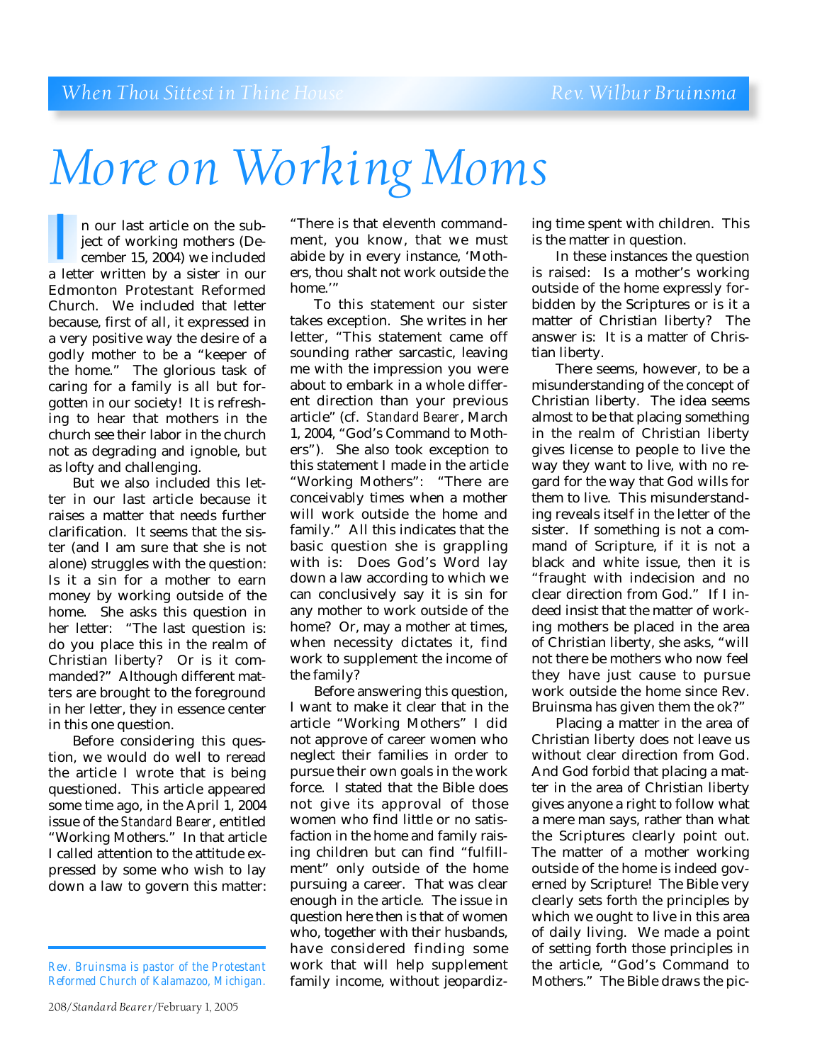# *More on Working Moms*

n our last article on the subject of working mothers (December 15, 2004) we included a letter written by a sister in our<br>a letter written by a sister in our Edmonton Protestant Reformed Church. We included that letter because, first of all, it expressed in a very positive way the desire of a godly mother to be a "keeper of the home." The glorious task of caring for a family is all but forgotten in our society! It is refreshing to hear that mothers in the church see their labor in the church not as degrading and ignoble, but as lofty and challenging.

But we also included this letter in our last article because it raises a matter that needs further clarification. It seems that the sister (and I am sure that she is not alone) struggles with the question: Is it a sin for a mother to earn money by working outside of the home. She asks this question in her letter: "The last question is: do you place this in the realm of Christian liberty? Or is it commanded?" Although different matters are brought to the foreground in her letter, they in essence center in this one question.

Before considering this question, we would do well to reread the article I wrote that is being questioned. This article appeared some time ago, in the April 1, 2004 issue of the *Standard Bearer*, entitled "Working Mothers." In that article I called attention to the attitude expressed by some who wish to lay down a law to govern this matter:

"There is that eleventh commandment, you know, that we must abide by in every instance, 'Mothers, thou shalt not work outside the home<sup>"</sup>

To this statement our sister takes exception. She writes in her letter, "This statement came off sounding rather sarcastic, leaving me with the impression you were about to embark in a whole different direction than your previous article" (cf. *Standard Bearer*, March 1, 2004, "God's Command to Mothers"). She also took exception to this statement I made in the article "Working Mothers": "There are conceivably times when a mother will work outside the home and family." All this indicates that the basic question she is grappling with is: Does God's Word lay down a law according to which we can conclusively say it is sin for any mother to work outside of the home? Or, may a mother at times, when necessity dictates it, find work to supplement the income of the family?

Before answering this question, I want to make it clear that in the article "Working Mothers" I did not approve of career women who neglect their families in order to pursue their own goals in the work force. I stated that the Bible does not give its approval of those women who find little or no satisfaction in the home and family raising children but can find "fulfillment" only outside of the home pursuing a career. That was clear enough in the article. The issue in question here then is that of women who, together with their husbands, have considered finding some work that will help supplement family income, without jeopardizing time spent with children. This is the matter in question.

In these instances the question is raised: Is a mother's working outside of the home expressly forbidden by the Scriptures or is it a matter of Christian liberty? The answer is: It is a matter of Christian liberty.

There seems, however, to be a misunderstanding of the concept of Christian liberty. The idea seems almost to be that placing something in the realm of Christian liberty gives license to people to live the way they want to live, with no regard for the way that God wills for them to live. This misunderstanding reveals itself in the letter of the sister. If something is not a command of Scripture, if it is not a black and white issue, then it is "fraught with indecision and no clear direction from God." If I indeed insist that the matter of working mothers be placed in the area of Christian liberty, she asks, "will not there be mothers who now feel they have just cause to pursue work outside the home since Rev. Bruinsma has given them the ok?"

Placing a matter in the area of Christian liberty does not leave us without clear direction from God. And God forbid that placing a matter in the area of Christian liberty gives anyone a right to follow what a mere man says, rather than what the Scriptures clearly point out. The matter of a mother working outside of the home is indeed governed by Scripture! The Bible very clearly sets forth the principles by which we ought to live in this area of daily living. We made a point of setting forth those principles in the article, "God's Command to Mothers." The Bible draws the pic-

*Rev. Bruinsma is pastor of the Protestant Reformed Church of Kalamazoo, Michigan.*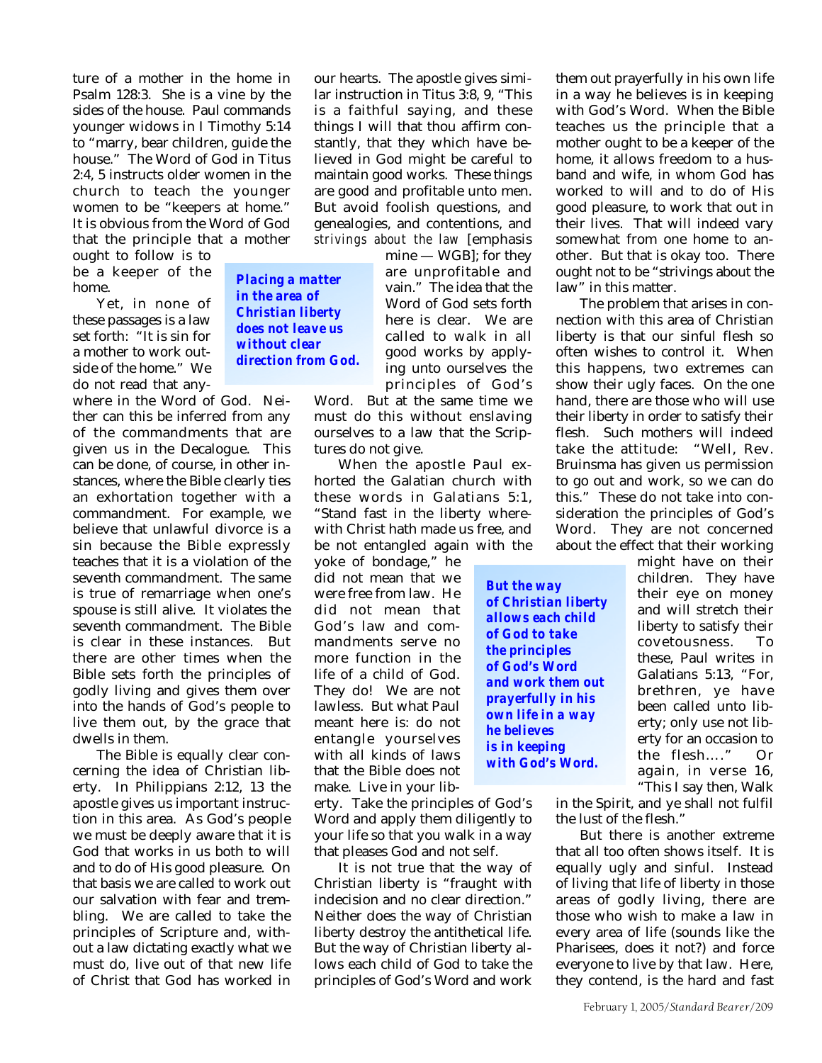ture of a mother in the home in Psalm 128:3. She is a vine by the sides of the house. Paul commands younger widows in I Timothy 5:14 to "marry, bear children, guide the house." The Word of God in Titus 2:4, 5 instructs older women in the church to teach the younger women to be "keepers at home." It is obvious from the Word of God that the principle that a mother

> *Placing a matter in the area of Christian liberty does not leave us without clear direction from God.*

ought to follow is to be a keeper of the home.

Yet, in none of these passages is a law set forth: "It is sin for a mother to work outside of the home." We do not read that any-

where in the Word of God. Neither can this be inferred from any of the commandments that are given us in the Decalogue. This can be done, of course, in other instances, where the Bible clearly ties an exhortation together with a commandment. For example, we believe that unlawful divorce is a sin because the Bible expressly teaches that it is a violation of the seventh commandment. The same is true of remarriage when one's spouse is still alive. It violates the seventh commandment. The Bible is clear in these instances. But there are other times when the Bible sets forth the principles of godly living and gives them over into the hands of God's people to live them out, by the grace that dwells in them.

The Bible is equally clear concerning the idea of Christian liberty. In Philippians 2:12, 13 the apostle gives us important instruction in this area. As God's people we must be deeply aware that it is God that works in us both to will and to do of His good pleasure. On that basis we are called to work out our salvation with fear and trembling. We are called to take the principles of Scripture and, without a law dictating exactly what we must do, live out of that new life of Christ that God has worked in

our hearts. The apostle gives similar instruction in Titus 3:8, 9, "This is a faithful saying, and these things I will that thou affirm constantly, that they which have believed in God might be careful to maintain good works. These things are good and profitable unto men. But avoid foolish questions, and genealogies, and contentions, and *strivings about the law* [emphasis

> mine — WGB]; for they are unprofitable and vain." The idea that the Word of God sets forth here is clear. We are called to walk in all good works by applying unto ourselves the principles of God's

Word. But at the same time we must do this without enslaving ourselves to a law that the Scriptures do not give.

When the apostle Paul exhorted the Galatian church with these words in Galatians 5:1, "Stand fast in the liberty wherewith Christ hath made us free, and be not entangled again with the

yoke of bondage," he did not mean that we were free from law. He did not mean that God's law and commandments serve no more function in the life of a child of God. They do! We are not lawless. But what Paul meant here is: do not entangle yourselves with all kinds of laws that the Bible does not make. Live in your lib-

erty. Take the principles of God's Word and apply them diligently to your life so that you walk in a way that pleases God and not self.

It is not true that the way of Christian liberty is "fraught with indecision and no clear direction." Neither does the way of Christian liberty destroy the antithetical life. But the way of Christian liberty allows each child of God to take the principles of God's Word and work

them out prayerfully in his own life in a way he believes is in keeping with God's Word. When the Bible teaches us the principle that a mother ought to be a keeper of the home, it allows freedom to a husband and wife, in whom God has worked to will and to do of His good pleasure, to work that out in their lives. That will indeed vary somewhat from one home to another. But that is okay too. There ought not to be "strivings about the law" in this matter.

The problem that arises in connection with this area of Christian liberty is that our sinful flesh so often wishes to control it. When this happens, two extremes can show their ugly faces. On the one hand, there are those who will use their liberty in order to satisfy their flesh. Such mothers will indeed take the attitude: "Well, Rev. Bruinsma has given us permission to go out and work, so we can do this." These do not take into consideration the principles of God's Word. They are not concerned about the effect that their working

*But the way of Christian liberty allows each child of God to take the principles of God's Word and work them out prayerfully in his own life in a way he believes is in keeping with God's Word.*

might have on their children. They have their eye on money and will stretch their liberty to satisfy their covetousness. To these, Paul writes in Galatians 5:13, "For, brethren, ye have been called unto liberty; only use not liberty for an occasion to the flesh…." Or again, in verse 16, "This I say then, Walk

in the Spirit, and ye shall not fulfil the lust of the flesh."

But there is another extreme that all too often shows itself. It is equally ugly and sinful. Instead of living that life of liberty in those areas of godly living, there are those who wish to make a law in every area of life (sounds like the Pharisees, does it not?) and force everyone to live by that law. Here, they contend, is the hard and fast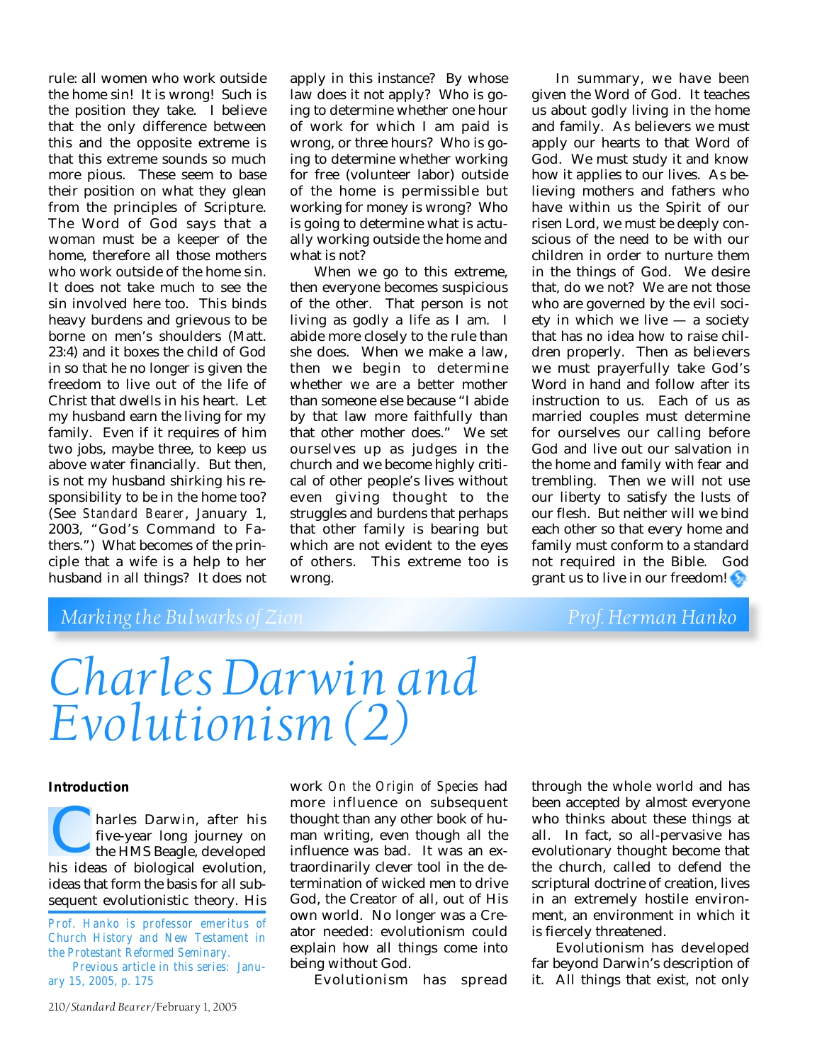rule: all women who work outside the home sin! It is wrong! Such is the position they take. I believe that the only difference between this and the opposite extreme is that this extreme sounds so much more pious. These seem to base their position on what they glean from the principles of Scripture. The Word of God says that a woman must be a keeper of the home, therefore all those mothers who work outside of the home sin. It does not take much to see the sin involved here too. This binds heavy burdens and grievous to be borne on men's shoulders (Matt. 23:4) and it boxes the child of God in so that he no longer is given the freedom to live out of the life of Christ that dwells in his heart. Let my husband earn the living for my family. Even if it requires of him two jobs, maybe three, to keep us above water financially. But then, is not my husband shirking his responsibility to be in the home too? (See *Standard Bearer*, January 1, 2003, "God's Command to Fathers.") What becomes of the principle that a wife is a help to her husband in all things? It does not

apply in this instance? By whose law does it not apply? Who is going to determine whether one hour of work for which I am paid is wrong, or three hours? Who is going to determine whether working for free (volunteer labor) outside of the home is permissible but working for money is wrong? Who is going to determine what is actually working outside the home and what is not?

When we go to this extreme, then everyone becomes suspicious of the other. That person is not living as godly a life as I am. I abide more closely to the rule than she does. When we make a law, then we begin to determine whether we are a better mother than someone else because "I abide by that law more faithfully than that other mother does." We set ourselves up as judges in the church and we become highly critical of other people's lives without even giving thought to the struggles and burdens that perhaps that other family is bearing but which are not evident to the eyes of others. This extreme too is wrong.

In summary, we have been given the Word of God. It teaches us about godly living in the home and family. As believers we must apply our hearts to that Word of God. We must study it and know how it applies to our lives. As believing mothers and fathers who have within us the Spirit of our risen Lord, we must be deeply conscious of the need to be with our children in order to nurture them in the things of God. We desire that, do we not? We are not those who are governed by the evil society in which we live — a society that has no idea how to raise children properly. Then as believers we must prayerfully take God's Word in hand and follow after its instruction to us. Each of us as married couples must determine for ourselves our calling before God and live out our salvation in the home and family with fear and trembling. Then we will not use our liberty to satisfy the lusts of our flesh. But neither will we bind each other so that every home and family must conform to a standard not required in the Bible. God grant us to live in our freedom!

## *Marking the Bulwarks of Zion* **Prof. Herman Hanko**

# *Charles Darwin and Evolutionism (2)*

#### **Introduction**

harles Darwin, after his five-year long journey on the HMS Beagle, developed harles Darwin, after his<br>five-year long journey on<br>the HMS Beagle, developed<br>his ideas of biological evolution, ideas that form the basis for all subsequent evolutionistic theory. His

*Prof. Hanko is professor emeritus of Church History and New Testament in the Protestant Reformed Seminary.*

*Previous article in this series: January 15, 2005, p. 175*

work *On the Origin of Species* had more influence on subsequent thought than any other book of human writing, even though all the influence was bad. It was an extraordinarily clever tool in the determination of wicked men to drive God, the Creator of all, out of His own world. No longer was a Creator needed: evolutionism could explain how all things come into being without God.

Evolutionism has spread

through the whole world and has been accepted by almost everyone who thinks about these things at all. In fact, so all-pervasive has evolutionary thought become that the church, called to defend the scriptural doctrine of creation, lives in an extremely hostile environment, an environment in which it is fiercely threatened.

Evolutionism has developed far beyond Darwin's description of it. All things that exist, not only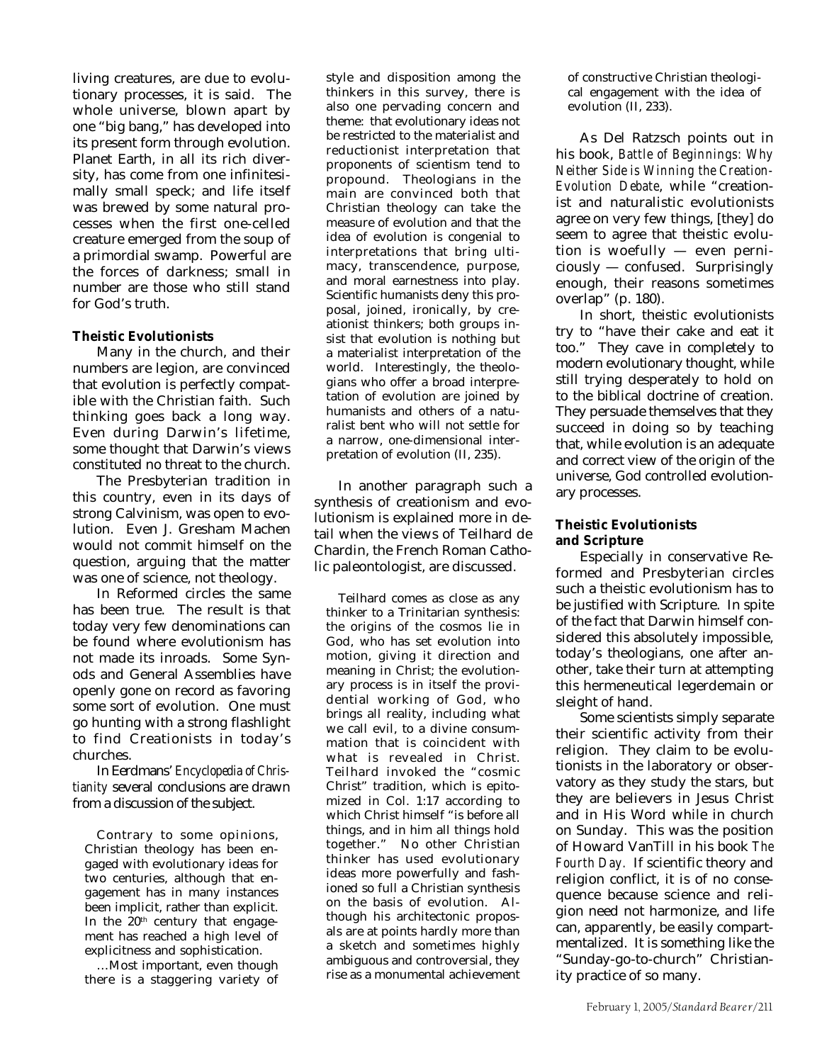living creatures, are due to evolutionary processes, it is said. The whole universe, blown apart by one "big bang," has developed into its present form through evolution. Planet Earth, in all its rich diversity, has come from one infinitesimally small speck; and life itself was brewed by some natural processes when the first one-celled creature emerged from the soup of a primordial swamp. Powerful are the forces of darkness; small in number are those who still stand for God's truth.

### **Theistic Evolutionists**

Many in the church, and their numbers are legion, are convinced that evolution is perfectly compatible with the Christian faith. Such thinking goes back a long way. Even during Darwin's lifetime, some thought that Darwin's views constituted no threat to the church.

The Presbyterian tradition in this country, even in its days of strong Calvinism, was open to evolution. Even J. Gresham Machen would not commit himself on the question, arguing that the matter was one of science, not theology.

In Reformed circles the same has been true. The result is that today very few denominations can be found where evolutionism has not made its inroads. Some Synods and General Assemblies have openly gone on record as favoring some sort of evolution. One must go hunting with a strong flashlight to find Creationists in today's churches.

In Eerdmans' *Encyclopedia of Christianity* several conclusions are drawn from a discussion of the subject.

Contrary to some opinions, Christian theology has been engaged with evolutionary ideas for two centuries, although that engagement has in many instances been implicit, rather than explicit. In the  $20<sup>th</sup>$  century that engagement has reached a high level of explicitness and sophistication.

…Most important, even though there is a staggering variety of style and disposition among the thinkers in this survey, there is also one pervading concern and theme: that evolutionary ideas not be restricted to the materialist and reductionist interpretation that proponents of scientism tend to propound. Theologians in the main are convinced both that Christian theology can take the measure of evolution and that the idea of evolution is congenial to interpretations that bring ultimacy, transcendence, purpose, and moral earnestness into play. Scientific humanists deny this proposal, joined, ironically, by creationist thinkers; both groups insist that evolution is nothing but a materialist interpretation of the world. Interestingly, the theologians who offer a broad interpretation of evolution are joined by humanists and others of a naturalist bent who will not settle for a narrow, one-dimensional interpretation of evolution (II, 235).

In another paragraph such a synthesis of creationism and evolutionism is explained more in detail when the views of Teilhard de Chardin, the French Roman Catholic paleontologist, are discussed.

Teilhard comes as close as any thinker to a Trinitarian synthesis: the origins of the cosmos lie in God, who has set evolution into motion, giving it direction and meaning in Christ; the evolutionary process is in itself the providential working of God, who brings all reality, including what we call evil, to a divine consummation that is coincident with what is revealed in Christ. Teilhard invoked the "cosmic Christ" tradition, which is epitomized in Col. 1:17 according to which Christ himself "is before all things, and in him all things hold together." No other Christian thinker has used evolutionary ideas more powerfully and fashioned so full a Christian synthesis on the basis of evolution. Although his architectonic proposals are at points hardly more than a sketch and sometimes highly ambiguous and controversial, they rise as a monumental achievement of constructive Christian theological engagement with the idea of evolution (II, 233).

As Del Ratzsch points out in his book, *Battle of Beginnings: Why Neither Side is Winning the Creation-Evolution Debate*, while "creationist and naturalistic evolutionists agree on very few things, [they] do seem to agree that theistic evolution is woefully — even perniciously — confused. Surprisingly enough, their reasons sometimes overlap" (p. 180).

In short, theistic evolutionists try to "have their cake and eat it too." They cave in completely to modern evolutionary thought, while still trying desperately to hold on to the biblical doctrine of creation. They persuade themselves that they succeed in doing so by teaching that, while evolution is an adequate and correct view of the origin of the universe, God controlled evolutionary processes.

### **Theistic Evolutionists and Scripture**

Especially in conservative Reformed and Presbyterian circles such a theistic evolutionism has to be justified with Scripture. In spite of the fact that Darwin himself considered this absolutely impossible, today's theologians, one after another, take their turn at attempting this hermeneutical legerdemain or sleight of hand.

Some scientists simply separate their scientific activity from their religion. They claim to be evolutionists in the laboratory or observatory as they study the stars, but they are believers in Jesus Christ and in His Word while in church on Sunday. This was the position of Howard VanTill in his book *The Fourth Day.* If scientific theory and religion conflict, it is of no consequence because science and religion need not harmonize, and life can, apparently, be easily compartmentalized. It is something like the "Sunday-go-to-church" Christianity practice of so many.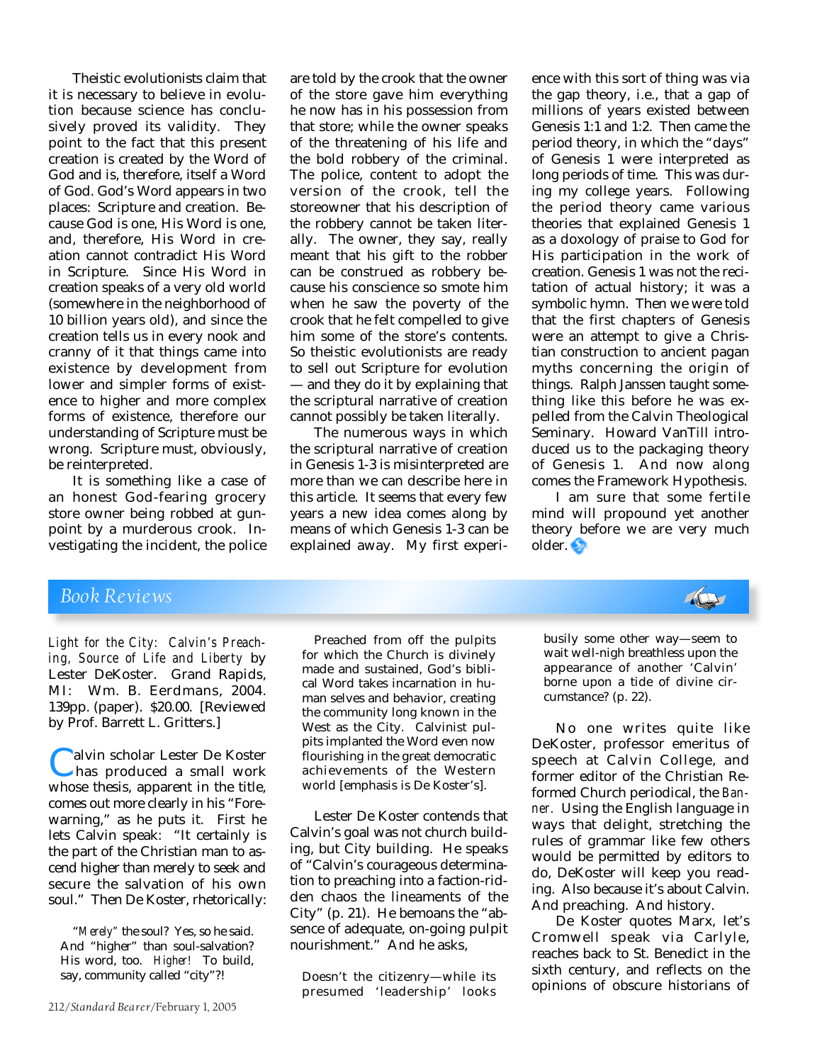Theistic evolutionists claim that it is necessary to believe in evolution because science has conclusively proved its validity. They point to the fact that this present creation is created by the Word of God and is, therefore, itself a Word of God. God's Word appears in two places: Scripture and creation. Because God is one, His Word is one, and, therefore, His Word in creation cannot contradict His Word in Scripture. Since His Word in creation speaks of a very old world (somewhere in the neighborhood of 10 billion years old), and since the creation tells us in every nook and cranny of it that things came into existence by development from lower and simpler forms of existence to higher and more complex forms of existence, therefore our understanding of Scripture must be wrong. Scripture must, obviously, be reinterpreted.

It is something like a case of an honest God-fearing grocery store owner being robbed at gunpoint by a murderous crook. Investigating the incident, the police

are told by the crook that the owner of the store gave him everything he now has in his possession from that store; while the owner speaks of the threatening of his life and the bold robbery of the criminal. The police, content to adopt the version of the crook, tell the storeowner that his description of the robbery cannot be taken literally. The owner, they say, really meant that his gift to the robber can be construed as robbery because his conscience so smote him when he saw the poverty of the crook that he felt compelled to give him some of the store's contents. So theistic evolutionists are ready to sell out Scripture for evolution — and they do it by explaining that the scriptural narrative of creation cannot possibly be taken literally.

The numerous ways in which the scriptural narrative of creation in Genesis 1-3 is misinterpreted are more than we can describe here in this article. It seems that every few years a new idea comes along by means of which Genesis 1-3 can be explained away. My first experi-

ence with this sort of thing was via the gap theory, i.e., that a gap of millions of years existed between Genesis 1:1 and 1:2. Then came the period theory, in which the "days" of Genesis 1 were interpreted as long periods of time. This was during my college years. Following the period theory came various theories that explained Genesis 1 as a doxology of praise to God for His participation in the work of creation. Genesis 1 was not the recitation of actual history; it was a symbolic hymn. Then we were told that the first chapters of Genesis were an attempt to give a Christian construction to ancient pagan myths concerning the origin of things. Ralph Janssen taught something like this before he was expelled from the Calvin Theological Seminary. Howard VanTill introduced us to the packaging theory of Genesis 1. And now along comes the Framework Hypothesis.

I am sure that some fertile mind will propound yet another theory before we are very much older.

### *Book Reviews*

*Light for the City: Calvin's Preaching, Source of Life and Liberty* by Lester DeKoster. Grand Rapids, MI: Wm. B. Eerdmans, 2004. 139pp. (paper). \$20.00. [Reviewed by Prof. Barrett L. Gritters.]

**Calvin scholar Lester De Koster**<br>has produced a small work<br>whose thesis, apparent in the title. has produced a small work whose thesis, apparent in the title, comes out more clearly in his "Forewarning," as he puts it. First he lets Calvin speak: "It certainly is the part of the Christian man to ascend higher than merely to seek and secure the salvation of his own soul." Then De Koster, rhetorically:

"*Merely"* the soul? Yes, so he said. And "higher" than soul-salvation? His word, too. *Higher!* To build, say, community called "city"?!

212/*Standard Bearer*/February 1, 2005

Preached from off the pulpits for which the Church is divinely made and sustained, God's biblical Word takes incarnation in human selves and behavior, creating the community long known in the West as the City. Calvinist pulpits implanted the Word even now flourishing in the great democratic achievements of the Western world [emphasis is De Koster's].

Lester De Koster contends that Calvin's goal was not church building, but City building. He speaks of "Calvin's courageous determination to preaching into a faction-ridden chaos the lineaments of the City" (p. 21). He bemoans the "absence of adequate, on-going pulpit nourishment." And he asks,

Doesn't the citizenry—while its presumed 'leadership' looks busily some other way—seem to wait well-nigh breathless upon the appearance of another 'Calvin' borne upon a tide of divine circumstance? (p. 22).

No one writes quite like DeKoster, professor emeritus of speech at Calvin College, and former editor of the Christian Reformed Church periodical, the *Banner.* Using the English language in ways that delight, stretching the rules of grammar like few others would be permitted by editors to do, DeKoster will keep you reading. Also because it's about Calvin. And preaching. And history.

De Koster quotes Marx, let's Cromwell speak via Carlyle, reaches back to St. Benedict in the sixth century, and reflects on the opinions of obscure historians of

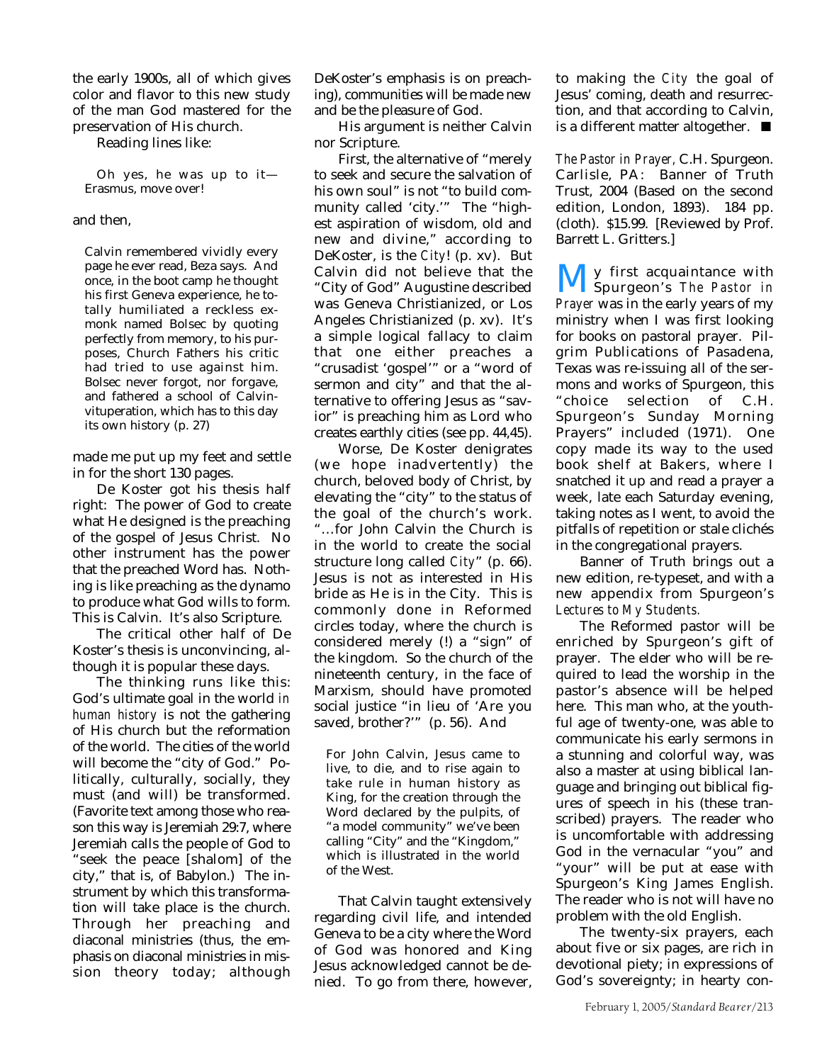the early 1900s, all of which gives color and flavor to this new study of the man God mastered for the preservation of His church.

Reading lines like:

Oh yes, he was up to it— Erasmus, move over!

#### and then,

Calvin remembered vividly every page he ever read, Beza says. And once, in the boot camp he thought his first Geneva experience, he totally humiliated a reckless exmonk named Bolsec by quoting perfectly from memory, to his purposes, Church Fathers his critic had tried to use against him. Bolsec never forgot, nor forgave, and fathered a school of Calvinvituperation, which has to this day its own history (p. 27)

made me put up my feet and settle in for the short 130 pages.

De Koster got his thesis half right: The power of God to create what He designed is the preaching of the gospel of Jesus Christ. No other instrument has the power that the preached Word has. Nothing is like preaching as the dynamo to produce what God wills to form. This is Calvin. It's also Scripture.

The critical other half of De Koster's thesis is unconvincing, although it is popular these days.

The thinking runs like this: God's ultimate goal in the world *in human history* is not the gathering of His church but the reformation of the world. The cities of the world will become the "city of God." Politically, culturally, socially, they must (and will) be transformed. (Favorite text among those who reason this way is Jeremiah 29:7, where Jeremiah calls the people of God to "seek the peace [shalom] of the city," that is, of Babylon.) The instrument by which this transformation will take place is the church. Through her preaching and diaconal ministries (thus, the emphasis on diaconal ministries in mission theory today; although

DeKoster's emphasis is on preaching), communities will be made new and be the pleasure of God.

His argument is neither Calvin nor Scripture.

First, the alternative of "merely to seek and secure the salvation of his own soul" is not "to build community called 'city.'" The "highest aspiration of wisdom, old and new and divine," according to DeKoster, is the *City*! (p. xv). But Calvin did not believe that the "City of God" Augustine described was Geneva Christianized, or Los Angeles Christianized (p. xv). It's a simple logical fallacy to claim that one either preaches a "crusadist 'gospel'" or a "word of sermon and city" and that the alternative to offering Jesus as "savior" is preaching him as Lord who creates earthly cities (see pp. 44,45).

Worse, De Koster denigrates (we hope inadvertently) the church, beloved body of Christ, by elevating the "city" to the status of the goal of the church's work. "…for John Calvin the Church is in the world to create the social structure long called *City*" (p. 66). Jesus is not as interested in His bride as He is in the City. This is commonly done in Reformed circles today, where the church is considered merely (!) a "sign" of the kingdom. So the church of the nineteenth century, in the face of Marxism, should have promoted social justice "in lieu of 'Are you saved, brother?'" (p. 56). And

For John Calvin, Jesus came to live, to die, and to rise again to take rule in human history as King, for the creation through the Word declared by the pulpits, of "a model community" we've been calling "City" and the "Kingdom," which is illustrated in the world of the West.

That Calvin taught extensively regarding civil life, and intended Geneva to be a city where the Word of God was honored and King Jesus acknowledged cannot be denied. To go from there, however,

to making the *City* the goal of Jesus' coming, death and resurrection, and that according to Calvin, is a different matter altogether. ■

*The Pastor in Prayer,* C.H. Spurgeon. Carlisle, PA: Banner of Truth Trust, 2004 (Based on the second edition, London, 1893). 184 pp. (cloth). \$15.99. [Reviewed by Prof. Barrett L. Gritters.]

**My** first acquaintance with<br>Spurgeon's *The Pastor in*<br>Prayer was in the early years of my Spurgeon's *The Pastor in Prayer* was in the early years of my ministry when I was first looking for books on pastoral prayer. Pilgrim Publications of Pasadena, Texas was re-issuing all of the sermons and works of Spurgeon, this "choice selection of C.H. Spurgeon's Sunday Morning Prayers" included (1971). One copy made its way to the used book shelf at Bakers, where I snatched it up and read a prayer a week, late each Saturday evening, taking notes as I went, to avoid the pitfalls of repetition or stale clichés in the congregational prayers.

Banner of Truth brings out a new edition, re-typeset, and with a new appendix from Spurgeon's *Lectures to My Students.*

The Reformed pastor will be enriched by Spurgeon's gift of prayer. The elder who will be required to lead the worship in the pastor's absence will be helped here. This man who, at the youthful age of twenty-one, was able to communicate his early sermons in a stunning and colorful way, was also a master at using biblical language and bringing out biblical figures of speech in his (these transcribed) prayers. The reader who is uncomfortable with addressing God in the vernacular "you" and "your" will be put at ease with Spurgeon's King James English. The reader who is not will have no problem with the old English.

The twenty-six prayers, each about five or six pages, are rich in devotional piety; in expressions of God's sovereignty; in hearty con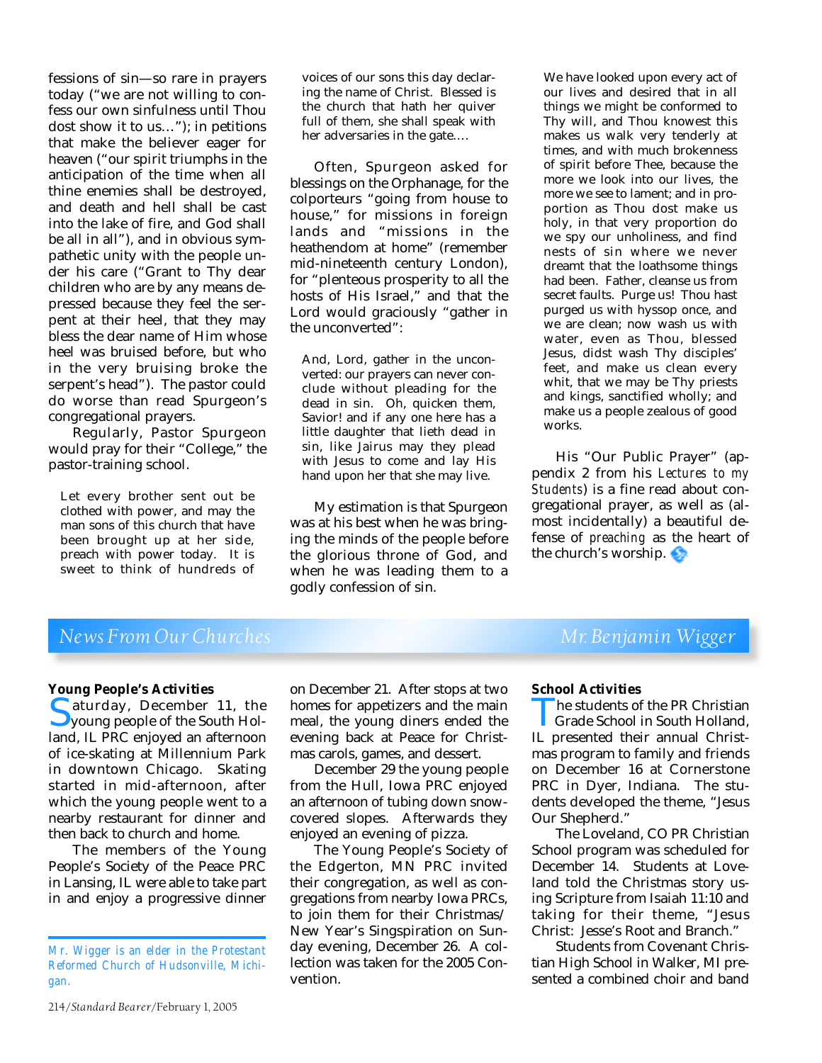fessions of sin—so rare in prayers today ("we are not willing to confess our own sinfulness until Thou dost show it to us…"); in petitions that make the believer eager for heaven ("our spirit triumphs in the anticipation of the time when all thine enemies shall be destroyed, and death and hell shall be cast into the lake of fire, and God shall be all in all"), and in obvious sympathetic unity with the people under his care ("Grant to Thy dear children who are by any means depressed because they feel the serpent at their heel, that they may bless the dear name of Him whose heel was bruised before, but who in the very bruising broke the serpent's head"). The pastor could do worse than read Spurgeon's congregational prayers.

Regularly, Pastor Spurgeon would pray for their "College," the pastor-training school.

Let every brother sent out be clothed with power, and may the man sons of this church that have been brought up at her side, preach with power today. It is sweet to think of hundreds of voices of our sons this day declaring the name of Christ. Blessed is the church that hath her quiver full of them, she shall speak with her adversaries in the gate….

Often, Spurgeon asked for blessings on the Orphanage, for the colporteurs "going from house to house," for missions in foreign lands and "missions in the heathendom at home" (remember mid-nineteenth century London), for "plenteous prosperity to all the hosts of His Israel," and that the Lord would graciously "gather in the unconverted":

And, Lord, gather in the unconverted: our prayers can never conclude without pleading for the dead in sin. Oh, quicken them, Savior! and if any one here has a little daughter that lieth dead in sin, like Jairus may they plead with Jesus to come and lay His hand upon her that she may live.

My estimation is that Spurgeon was at his best when he was bringing the minds of the people before the glorious throne of God, and when he was leading them to a godly confession of sin.

We have looked upon every act of our lives and desired that in all things we might be conformed to Thy will, and Thou knowest this makes us walk very tenderly at times, and with much brokenness of spirit before Thee, because the more we look into our lives, the more we see to lament; and in proportion as Thou dost make us holy, in that very proportion do we spy our unholiness, and find nests of sin where we never dreamt that the loathsome things had been. Father, cleanse us from secret faults. Purge us! Thou hast purged us with hyssop once, and we are clean; now wash us with water, even as Thou, blessed Jesus, didst wash Thy disciples' feet, and make us clean every whit, that we may be Thy priests and kings, sanctified wholly; and make us a people zealous of good works.

His "Our Public Prayer" (appendix 2 from his *Lectures to my Students*) is a fine read about congregational prayer, as well as (almost incidentally) a beautiful defense of *preaching* as the heart of the church's worship.

## *News From Our Churches* Mr. Benjamin Wigger

**Young People's Activities** Saturday, December 11, the<br>Syoung people of the South Holland. IL PRC enjoyed an afternoon young people of the South Holland, IL PRC enjoyed an afternoon of ice-skating at Millennium Park in downtown Chicago. Skating started in mid-afternoon, after which the young people went to a nearby restaurant for dinner and then back to church and home.

The members of the Young People's Society of the Peace PRC in Lansing, IL were able to take part in and enjoy a progressive dinner

homes for appetizers and the main meal, the young diners ended the evening back at Peace for Christmas carols, games, and dessert. December 29 the young people

from the Hull, Iowa PRC enjoyed an afternoon of tubing down snowcovered slopes. Afterwards they enjoyed an evening of pizza.

on December 21. After stops at two

The Young People's Society of the Edgerton, MN PRC invited their congregation, as well as congregations from nearby Iowa PRCs, to join them for their Christmas/ New Year's Singspiration on Sunday evening, December 26. A collection was taken for the 2005 Convention.

#### **School Activities**

The students of the PR Christian<br>Grade School in South Holland,<br>IL presented their annual Christ-Grade School in South Holland, mas program to family and friends on December 16 at Cornerstone PRC in Dyer, Indiana. The students developed the theme, "Jesus Our Shepherd."

The Loveland, CO PR Christian School program was scheduled for December 14. Students at Loveland told the Christmas story using Scripture from Isaiah 11:10 and taking for their theme, "Jesus Christ: Jesse's Root and Branch."

Students from Covenant Christian High School in Walker, MI presented a combined choir and band

*Mr. Wigger is an elder in the Protestant Reformed Church of Hudsonville, Michigan.*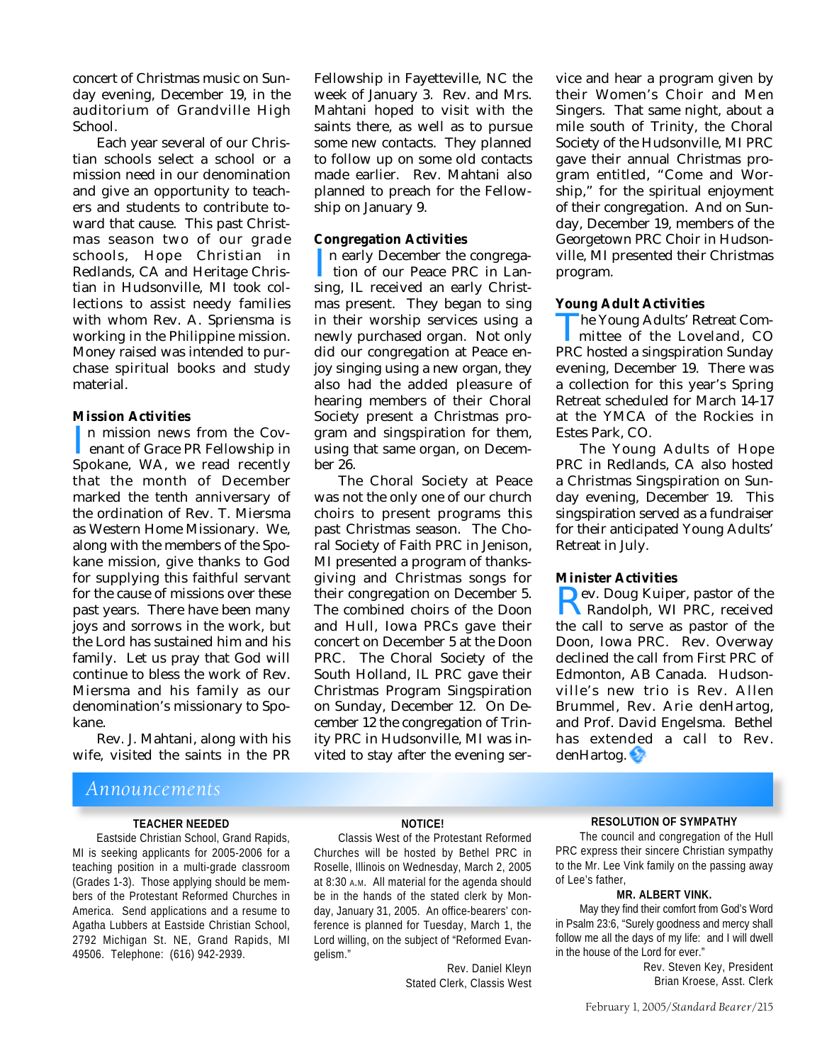concert of Christmas music on Sunday evening, December 19, in the auditorium of Grandville High School.

Each year several of our Christian schools select a school or a mission need in our denomination and give an opportunity to teachers and students to contribute toward that cause. This past Christmas season two of our grade schools, Hope Christian in Redlands, CA and Heritage Christian in Hudsonville, MI took collections to assist needy families with whom Rev. A. Spriensma is working in the Philippine mission. Money raised was intended to purchase spiritual books and study material.

#### **Mission Activities**

In mission news from the Coverant of Grace PR Fellowship in<br>Spokane, WA, we read recently n mission news from the Cov enant of Grace PR Fellowship in that the month of December marked the tenth anniversary of the ordination of Rev. T. Miersma as Western Home Missionary. We, along with the members of the Spokane mission, give thanks to God for supplying this faithful servant for the cause of missions over these past years. There have been many joys and sorrows in the work, but the Lord has sustained him and his family. Let us pray that God will continue to bless the work of Rev. Miersma and his family as our denomination's missionary to Spokane.

Rev. J. Mahtani, along with his wife, visited the saints in the PR

## *Announcements*

#### **TEACHER NEEDED**

Eastside Christian School, Grand Rapids, MI is seeking applicants for 2005-2006 for a teaching position in a multi-grade classroom (Grades 1-3). Those applying should be members of the Protestant Reformed Churches in America. Send applications and a resume to Agatha Lubbers at Eastside Christian School, 2792 Michigan St. NE, Grand Rapids, MI 49506. Telephone: (616) 942-2939.

Fellowship in Fayetteville, NC the week of January 3. Rev. and Mrs. Mahtani hoped to visit with the saints there, as well as to pursue some new contacts. They planned to follow up on some old contacts made earlier. Rev. Mahtani also planned to preach for the Fellowship on January 9.

#### **Congregation Activities**

In early December the congrega-<br>tion of our Peace PRC in Lansing, IL received an early Christn early December the congrega tion of our Peace PRC in Lanmas present. They began to sing in their worship services using a newly purchased organ. Not only did our congregation at Peace enjoy singing using a new organ, they also had the added pleasure of hearing members of their Choral Society present a Christmas program and singspiration for them, using that same organ, on December 26.

The Choral Society at Peace was not the only one of our church choirs to present programs this past Christmas season. The Choral Society of Faith PRC in Jenison, MI presented a program of thanksgiving and Christmas songs for their congregation on December 5. The combined choirs of the Doon and Hull, Iowa PRCs gave their concert on December 5 at the Doon PRC. The Choral Society of the South Holland, IL PRC gave their Christmas Program Singspiration on Sunday, December 12. On December 12 the congregation of Trinity PRC in Hudsonville, MI was invited to stay after the evening ser-

vice and hear a program given by their Women's Choir and Men Singers. That same night, about a mile south of Trinity, the Choral Society of the Hudsonville, MI PRC gave their annual Christmas program entitled, "Come and Worship," for the spiritual enjoyment of their congregation. And on Sunday, December 19, members of the Georgetown PRC Choir in Hudsonville, MI presented their Christmas program.

#### **Young Adult Activities**

The Young Adults' Retreat Committee of the Loveland, CO<br>PRC hosted a singspiration Sunday mittee of the Loveland, CO evening, December 19. There was a collection for this year's Spring Retreat scheduled for March 14-17 at the YMCA of the Rockies in Estes Park, CO.

The Young Adults of Hope PRC in Redlands, CA also hosted a Christmas Singspiration on Sunday evening, December 19. This singspiration served as a fundraiser for their anticipated Young Adults' Retreat in July.

#### **Minister Activities**

**Example:** Pev. Doug Kuiper, pastor of the<br>Randolph, WI PRC, received<br>the call to serve as pastor of the Randolph, WI PRC, received the call to serve as pastor of the Doon, Iowa PRC. Rev. Overway declined the call from First PRC of Edmonton, AB Canada. Hudsonville's new trio is Rev. Allen Brummel, Rev. Arie denHartog, and Prof. David Engelsma. Bethel has extended a call to Rev. denHartog.

#### **NOTICE!**

Classis West of the Protestant Reformed Churches will be hosted by Bethel PRC in Roselle, Illinois on Wednesday, March 2, 2005 at 8:30 A.M. All material for the agenda should be in the hands of the stated clerk by Monday, January 31, 2005. An office-bearers' conference is planned for Tuesday, March 1, the Lord willing, on the subject of "Reformed Evangelism."

> Rev. Daniel Kleyn Stated Clerk, Classis West

#### **RESOLUTION OF SYMPATHY**

The council and congregation of the Hull PRC express their sincere Christian sympathy to the Mr. Lee Vink family on the passing away of Lee's father,

#### **MR. ALBERT VINK.**

May they find their comfort from God's Word in Psalm 23:6, "Surely goodness and mercy shall follow me all the days of my life: and I will dwell in the house of the Lord for ever."

> Rev. Steven Key, President Brian Kroese, Asst. Clerk